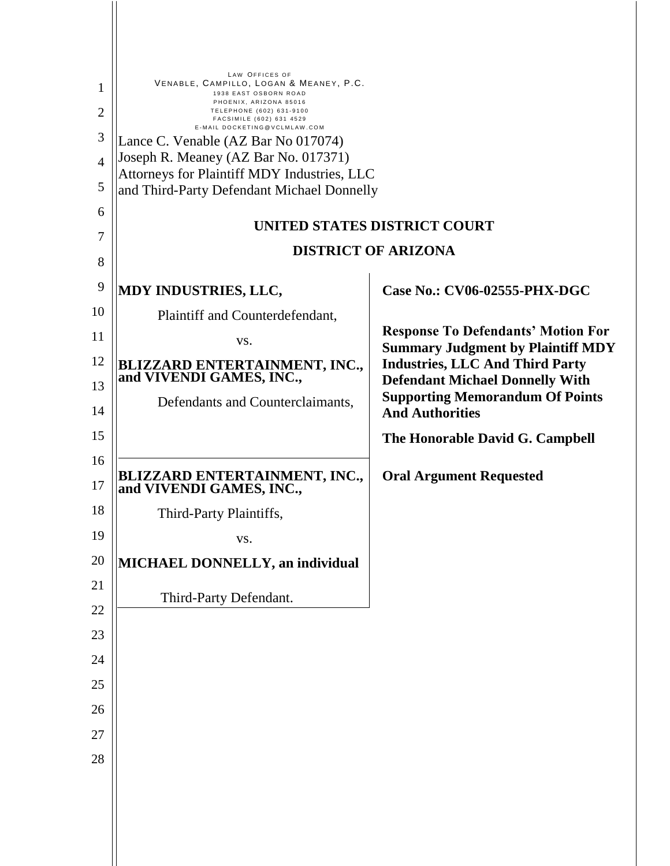|                | LAW OFFICES OF<br>VENABLE, CAMPILLO, LOGAN & MEANEY, P.C.                                 |                                                                                       |
|----------------|-------------------------------------------------------------------------------------------|---------------------------------------------------------------------------------------|
| 1              | 1938 EAST OSBORN ROAD<br>PHOENIX, ARIZONA 85016                                           |                                                                                       |
| $\overline{2}$ | TELEPHONE (602) 631-9100<br>FACSIMILE (602) 631 4529<br>E-MAIL DOCKETING@VCLMLAW.COM      |                                                                                       |
| 3              | Lance C. Venable (AZ Bar No 017074)                                                       |                                                                                       |
| $\overline{4}$ | Joseph R. Meaney (AZ Bar No. 017371)                                                      |                                                                                       |
| 5              | Attorneys for Plaintiff MDY Industries, LLC<br>and Third-Party Defendant Michael Donnelly |                                                                                       |
| 6              |                                                                                           |                                                                                       |
| 7              |                                                                                           | UNITED STATES DISTRICT COURT                                                          |
| 8              |                                                                                           | <b>DISTRICT OF ARIZONA</b>                                                            |
|                |                                                                                           |                                                                                       |
| 9              | MDY INDUSTRIES, LLC,                                                                      | Case No.: CV06-02555-PHX-DGC                                                          |
| 10             | Plaintiff and Counterdefendant,                                                           |                                                                                       |
| 11             | VS.                                                                                       | <b>Response To Defendants' Motion For</b><br><b>Summary Judgment by Plaintiff MDY</b> |
| 12             | <b>BLIZZARD ENTERTAINMENT, INC.,<br/>and VIVENDI GAMES, INC.,</b>                         | <b>Industries, LLC And Third Party</b>                                                |
| 13             |                                                                                           | <b>Defendant Michael Donnelly With</b>                                                |
| 14             | Defendants and Counterclaimants,                                                          | <b>Supporting Memorandum Of Points</b><br><b>And Authorities</b>                      |
| 15             |                                                                                           | The Honorable David G. Campbell                                                       |
| 16<br>17       | <b>BLIZZARD ENTERTAINMENT, INC.,<br/>and VIVENDI GAMES, INC.,</b>                         | <b>Oral Argument Requested</b>                                                        |
| 18             | Third-Party Plaintiffs,                                                                   |                                                                                       |
| 19             | VS.                                                                                       |                                                                                       |
| 20             | MICHAEL DONNELLY, an individual                                                           |                                                                                       |
| 21             |                                                                                           |                                                                                       |
| 22             | Third-Party Defendant.                                                                    |                                                                                       |
| 23             |                                                                                           |                                                                                       |
| 24             |                                                                                           |                                                                                       |
| 25             |                                                                                           |                                                                                       |
|                |                                                                                           |                                                                                       |
| 26             |                                                                                           |                                                                                       |
| 27             |                                                                                           |                                                                                       |
| 28             |                                                                                           |                                                                                       |
|                |                                                                                           |                                                                                       |
|                |                                                                                           |                                                                                       |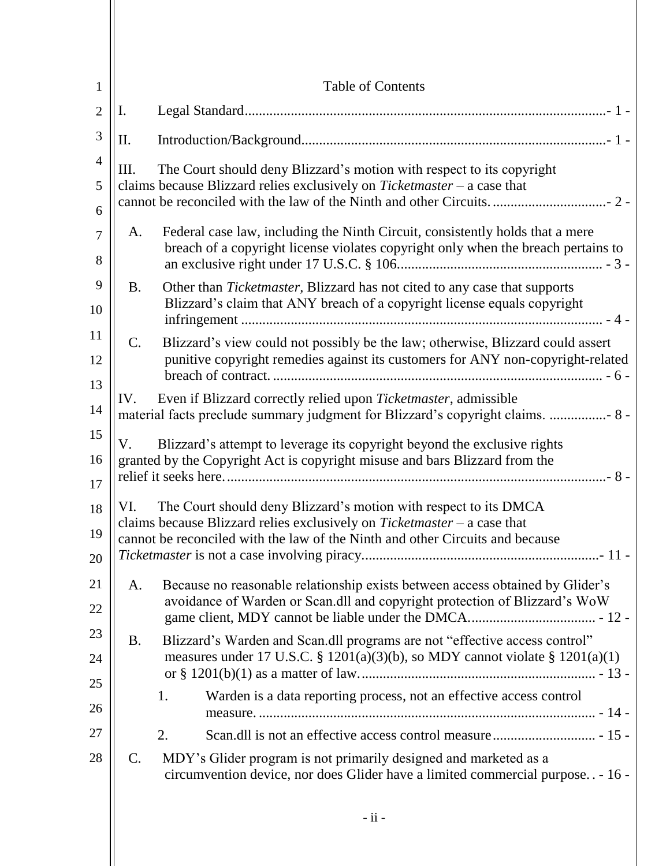| $\mathbf{1}$        | <b>Table of Contents</b>                                                                                                                                                                                                             |
|---------------------|--------------------------------------------------------------------------------------------------------------------------------------------------------------------------------------------------------------------------------------|
| $\overline{2}$      | I.                                                                                                                                                                                                                                   |
| 3                   | Π.                                                                                                                                                                                                                                   |
| 4<br>5<br>6         | The Court should deny Blizzard's motion with respect to its copyright<br>Ш.<br>claims because Blizzard relies exclusively on $Ticket master - a$ case that                                                                           |
| $\overline{7}$<br>8 | Federal case law, including the Ninth Circuit, consistently holds that a mere<br>A.<br>breach of a copyright license violates copyright only when the breach pertains to                                                             |
| 9<br>10             | Other than Ticketmaster, Blizzard has not cited to any case that supports<br><b>B.</b><br>Blizzard's claim that ANY breach of a copyright license equals copyright                                                                   |
| 11<br>12<br>13      | $\mathcal{C}$ .<br>Blizzard's view could not possibly be the law; otherwise, Blizzard could assert<br>punitive copyright remedies against its customers for ANY non-copyright-related                                                |
| 14                  | Even if Blizzard correctly relied upon Ticketmaster, admissible<br>IV.<br>material facts preclude summary judgment for Blizzard's copyright claims.  8 -                                                                             |
| 15<br>16<br>17      | Blizzard's attempt to leverage its copyright beyond the exclusive rights<br>V.<br>granted by the Copyright Act is copyright misuse and bars Blizzard from the                                                                        |
| 18<br>19<br>20      | VI. The Court should deny Blizzard's motion with respect to its DMCA<br>claims because Blizzard relies exclusively on $Ticket master - a$ case that<br>cannot be reconciled with the law of the Ninth and other Circuits and because |
| 21<br>22            | Because no reasonable relationship exists between access obtained by Glider's<br>A.<br>avoidance of Warden or Scan.dll and copyright protection of Blizzard's WoW                                                                    |
| 23<br>24<br>25      | Blizzard's Warden and Scan.dll programs are not "effective access control"<br><b>B.</b><br>measures under 17 U.S.C. § 1201(a)(3)(b), so MDY cannot violate § 1201(a)(1)                                                              |
| 26                  | Warden is a data reporting process, not an effective access control<br>1.                                                                                                                                                            |
| 27<br>28            | 2.<br>MDY's Glider program is not primarily designed and marketed as a<br>$\mathsf{C}$ .<br>circumvention device, nor does Glider have a limited commercial purpose. . - 16 -                                                        |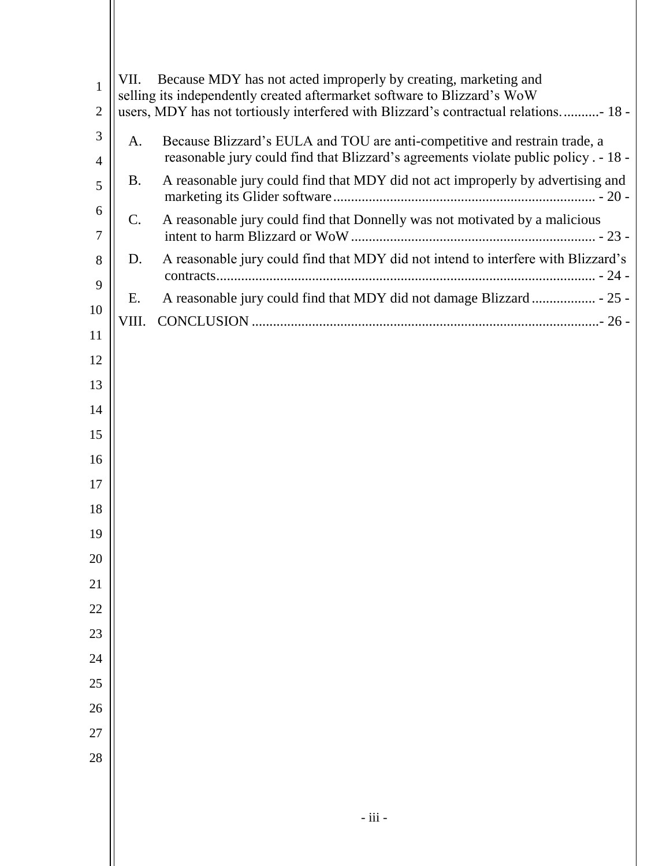| 1<br>$\overline{2}$ | VII.           | Because MDY has not acted improperly by creating, marketing and<br>selling its independently created aftermarket software to Blizzard's WoW<br>users, MDY has not tortiously interfered with Blizzard's contractual relations- 18 - |
|---------------------|----------------|-------------------------------------------------------------------------------------------------------------------------------------------------------------------------------------------------------------------------------------|
| 3                   | A.             | Because Blizzard's EULA and TOU are anti-competitive and restrain trade, a                                                                                                                                                          |
| 4                   |                | reasonable jury could find that Blizzard's agreements violate public policy . - 18 -                                                                                                                                                |
| 5                   | B.             | A reasonable jury could find that MDY did not act improperly by advertising and                                                                                                                                                     |
| 6<br>7              | $\mathbf{C}$ . | A reasonable jury could find that Donnelly was not motivated by a malicious                                                                                                                                                         |
| 8                   | D.             | A reasonable jury could find that MDY did not intend to interfere with Blizzard's                                                                                                                                                   |
| 9                   |                |                                                                                                                                                                                                                                     |
|                     | Ε.             |                                                                                                                                                                                                                                     |
| 10                  | VIII.          |                                                                                                                                                                                                                                     |
| 11                  |                |                                                                                                                                                                                                                                     |
| 12                  |                |                                                                                                                                                                                                                                     |
| 13                  |                |                                                                                                                                                                                                                                     |
| 14                  |                |                                                                                                                                                                                                                                     |
| 15                  |                |                                                                                                                                                                                                                                     |
| 16                  |                |                                                                                                                                                                                                                                     |
| 17                  |                |                                                                                                                                                                                                                                     |
| 18                  |                |                                                                                                                                                                                                                                     |
| 19                  |                |                                                                                                                                                                                                                                     |
| 20                  |                |                                                                                                                                                                                                                                     |
| 21                  |                |                                                                                                                                                                                                                                     |
| 22                  |                |                                                                                                                                                                                                                                     |
| 23                  |                |                                                                                                                                                                                                                                     |
| 24                  |                |                                                                                                                                                                                                                                     |
| 25                  |                |                                                                                                                                                                                                                                     |
| 26                  |                |                                                                                                                                                                                                                                     |
| 27                  |                |                                                                                                                                                                                                                                     |
| 28                  |                |                                                                                                                                                                                                                                     |
|                     |                |                                                                                                                                                                                                                                     |
|                     |                |                                                                                                                                                                                                                                     |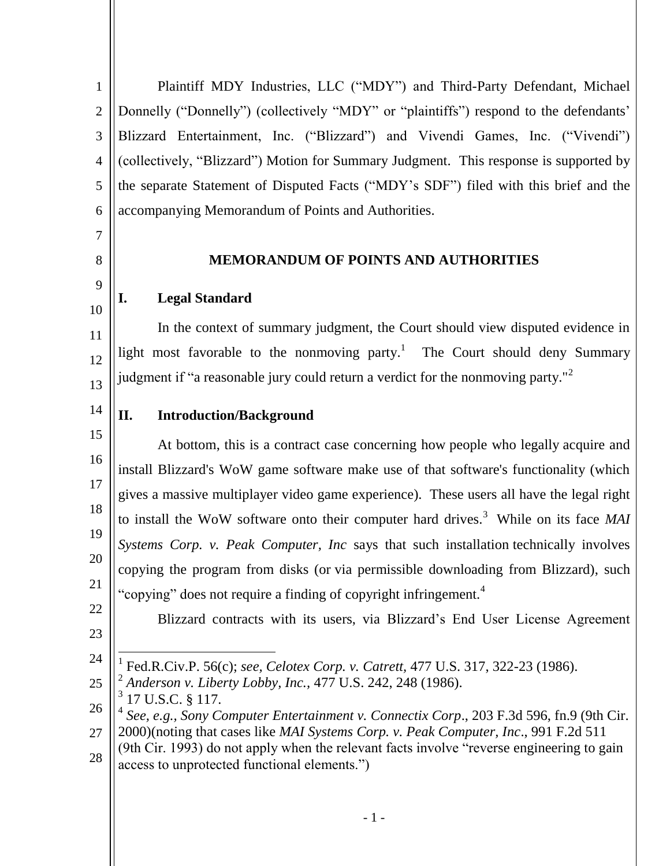1 2 3 4 5 6 Plaintiff MDY Industries, LLC ("MDY") and Third-Party Defendant, Michael Donnelly ("Donnelly") (collectively "MDY" or "plaintiffs") respond to the defendants' Blizzard Entertainment, Inc. ("Blizzard") and Vivendi Games, Inc. ("Vivendi") (collectively, "Blizzard") Motion for Summary Judgment. This response is supported by the separate Statement of Disputed Facts ("MDY's SDF") filed with this brief and the accompanying Memorandum of Points and Authorities.

### **MEMORANDUM OF POINTS AND AUTHORITIES**

## <span id="page-3-0"></span>**I. Legal Standard**

In the context of summary judgment, the Court should view disputed evidence in light most favorable to the nonmoving party.<sup>1</sup> The Court should deny Summary judgment if "a reasonable jury could return a verdict for the nonmoving party."<sup>2</sup>

# <span id="page-3-1"></span>**II. Introduction/Background**

15 16 17 18 19 20 21 At bottom, this is a contract case concerning how people who legally acquire and install Blizzard's WoW game software make use of that software's functionality (which gives a massive multiplayer video game experience). These users all have the legal right to install the WoW software onto their computer hard drives.<sup>3</sup> While on its face MAI *Systems Corp. v. Peak Computer, Inc* says that such installation technically involves copying the program from disks (or via permissible downloading from Blizzard), such "copying" does not require a finding of copyright infringement.<sup>4</sup>

22 23

7

8

9

10

11

12

13

14

Blizzard contracts with its users, via Blizzard's End User License Agreement

- 24  $\overline{a}$ 1 Fed.R.Civ.P. 56(c); *see, Celotex Corp. v. Catrett,* 477 U.S. 317, 322-23 (1986).
- 25 2 *Anderson v. Liberty Lobby, Inc.,* 477 U.S. 242, 248 (1986).
- 3 17 U.S.C. § 117.
- 26 4 *See, e.g., Sony Computer Entertainment v. Connectix Corp*., 203 F.3d 596, fn.9 (9th Cir.
- 27 28 2000)(noting that cases like *MAI Systems Corp. v. Peak Computer, Inc*., 991 F.2d 511 (9th Cir. 1993) do not apply when the relevant facts involve "reverse engineering to gain
- access to unprotected functional elements.")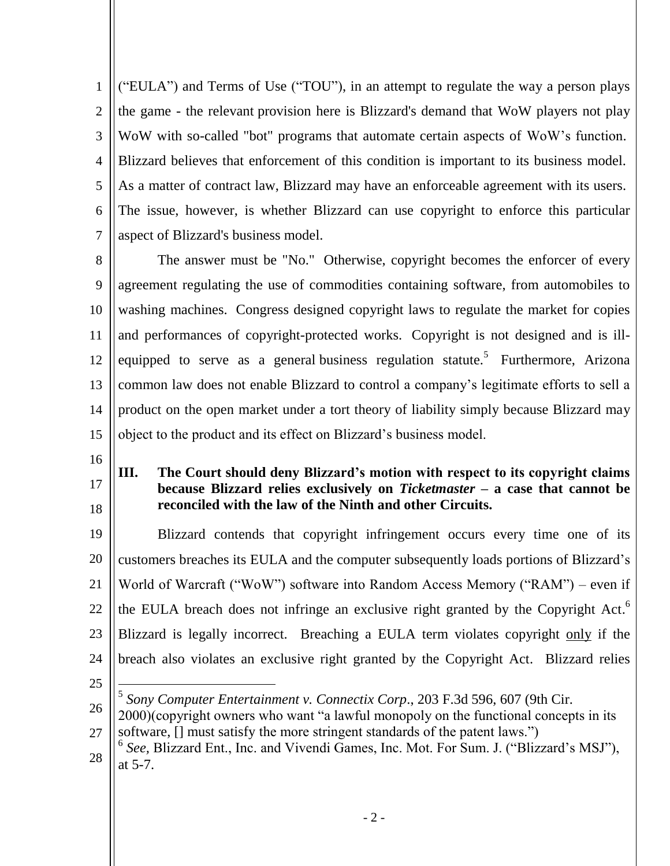1 2 3 4 5 6 7 ("EULA") and Terms of Use ("TOU"), in an attempt to regulate the way a person plays the game - the relevant provision here is Blizzard's demand that WoW players not play WoW with so-called "bot" programs that automate certain aspects of WoW's function. Blizzard believes that enforcement of this condition is important to its business model. As a matter of contract law, Blizzard may have an enforceable agreement with its users. The issue, however, is whether Blizzard can use copyright to enforce this particular aspect of Blizzard's business model.

8 9 10 11 12 13 14 15 The answer must be "No." Otherwise, copyright becomes the enforcer of every agreement regulating the use of commodities containing software, from automobiles to washing machines. Congress designed copyright laws to regulate the market for copies and performances of copyright-protected works. Copyright is not designed and is illequipped to serve as a general-business regulation statute.<sup>5</sup> Furthermore, Arizona common law does not enable Blizzard to control a company's legitimate efforts to sell a product on the open market under a tort theory of liability simply because Blizzard may object to the product and its effect on Blizzard's business model.

- 16
- 17
- 18

### <span id="page-4-0"></span>**III. The Court should deny Blizzard's motion with respect to its copyright claims because Blizzard relies exclusively on** *Ticketmaster –* **a case that cannot be reconciled with the law of the Ninth and other Circuits.**

19 20 21 22 23 24 Blizzard contends that copyright infringement occurs every time one of its customers breaches its EULA and the computer subsequently loads portions of Blizzard's World of Warcraft ("WoW") software into Random Access Memory ("RAM") – even if the EULA breach does not infringe an exclusive right granted by the Copyright Act.<sup>6</sup> Blizzard is legally incorrect. Breaching a EULA term violates copyright only if the breach also violates an exclusive right granted by the Copyright Act. Blizzard relies

25

 $\overline{a}$ 

5 *Sony Computer Entertainment v. Connectix Corp*., 203 F.3d 596, 607 (9th Cir.

- 26 27 2000)(copyright owners who want "a lawful monopoly on the functional concepts in its software,  $\lceil \cdot \rceil$  must satisfy the more stringent standards of the patent laws."
- 28 <sup>6</sup> See, Blizzard Ent., Inc. and Vivendi Games, Inc. Mot. For Sum. J. ("Blizzard's MSJ"), at 5-7.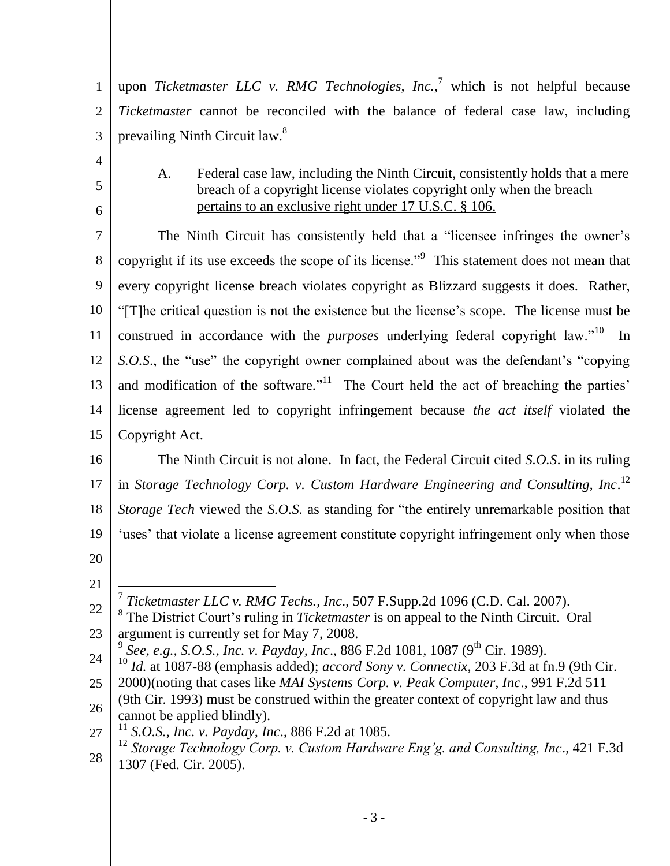1 2 3 upon *Ticketmaster LLC v. RMG Technologies, Inc.,* <sup>7</sup> which is not helpful because *Ticketmaster* cannot be reconciled with the balance of federal case law, including prevailing Ninth Circuit law.<sup>8</sup>

A. Federal case law, including the Ninth Circuit, consistently holds that a mere breach of a copyright license violates copyright only when the breach pertains to an exclusive right under 17 U.S.C. § 106.

7 8 9 10 11 12 13 14 15 The Ninth Circuit has consistently held that a "licensee infringes the owner's copyright if its use exceeds the scope of its license."<sup>9</sup> This statement does not mean that every copyright license breach violates copyright as Blizzard suggests it does. Rather, ―[T]he critical question is not the existence but the license's scope. The license must be construed in accordance with the *purposes* underlying federal copyright law."<sup>10</sup> In *S.O.S.*, the "use" the copyright owner complained about was the defendant's "copying and modification of the software. $i<sup>11</sup>$  The Court held the act of breaching the parties' license agreement led to copyright infringement because *the act itself* violated the Copyright Act.

16 17 18 19 20 The Ninth Circuit is not alone. In fact, the Federal Circuit cited *S.O.S*. in its ruling in *Storage Technology Corp. v. Custom Hardware Engineering and Consulting, Inc.*<sup>12</sup> *Storage Tech* viewed the *S.O.S.* as standing for "the entirely unremarkable position that ‗uses' that violate a license agreement constitute copyright infringement only when those

21

<span id="page-5-0"></span>4

5

6

- <sup>10</sup> *Id.* at 1087-88 (emphasis added); *accord Sony v. Connectix*, 203 F.3d at fn.9 (9th Cir.
- 25 26 2000)(noting that cases like *MAI Systems Corp. v. Peak Computer, Inc*., 991 F.2d 511 (9th Cir. 1993) must be construed within the greater context of copyright law and thus cannot be applied blindly).
- 27 <sup>11</sup> *S.O.S., Inc. v. Payday, Inc*., 886 F.2d at 1085.
- 28 <sup>12</sup> *Storage Technology Corp. v. Custom Hardware Eng'g. and Consulting, Inc*., 421 F.3d 1307 (Fed. Cir. 2005).

<sup>22</sup> 23  $\overline{a}$ 7 *Ticketmaster LLC v. RMG Techs., Inc*., 507 F.Supp.2d 1096 (C.D. Cal. 2007). <sup>8</sup> The District Court's ruling in *Ticketmaster* is on appeal to the Ninth Circuit. Oral argument is currently set for May 7, 2008.

<sup>24</sup> <sup>9</sup> See, e.g., S.O.S., Inc. v. Payday, Inc., 886 F.2d 1081, 1087 (9<sup>th</sup> Cir. 1989).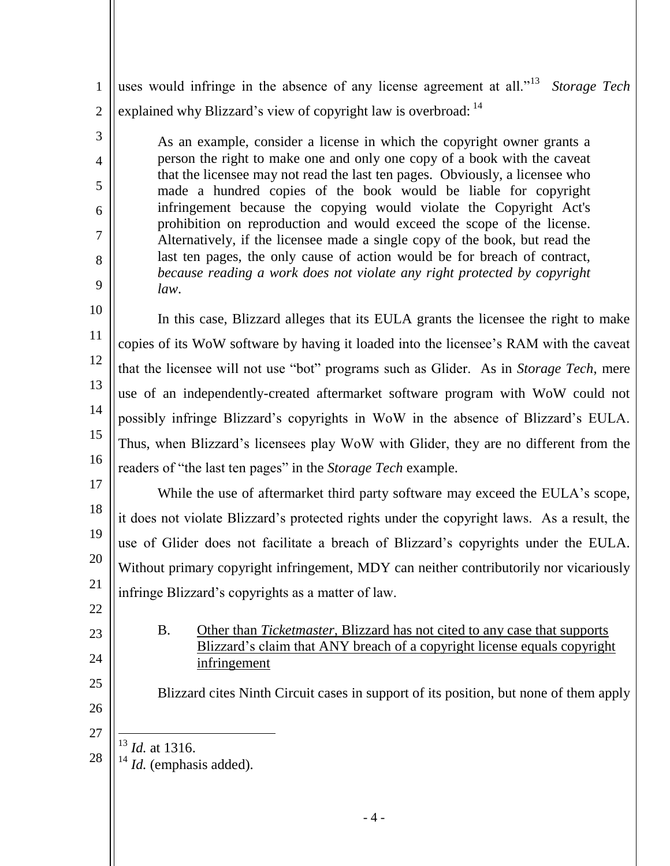1 2 uses would infringe in the absence of any license agreement at all.<sup>113</sup> Storage Tech explained why Blizzard's view of copyright law is overbroad: <sup>14</sup>

As an example, consider a license in which the copyright owner grants a person the right to make one and only one copy of a book with the caveat that the licensee may not read the last ten pages. Obviously, a licensee who made a hundred copies of the book would be liable for copyright infringement because the copying would violate the Copyright Act's prohibition on reproduction and would exceed the scope of the license. Alternatively, if the licensee made a single copy of the book, but read the last ten pages, the only cause of action would be for breach of contract, *because reading a work does not violate any right protected by copyright law*.

10 11 12 13 14 15 16 In this case, Blizzard alleges that its EULA grants the licensee the right to make copies of its WoW software by having it loaded into the licensee's RAM with the caveat that the licensee will not use "bot" programs such as Glider. As in *Storage Tech*, mere use of an independently-created aftermarket software program with WoW could not possibly infringe Blizzard's copyrights in WoW in the absence of Blizzard's EULA. Thus, when Blizzard's licensees play WoW with Glider, they are no different from the readers of "the last ten pages" in the *Storage Tech* example.

17 18 19 20 21 While the use of aftermarket third party software may exceed the EULA's scope, it does not violate Blizzard's protected rights under the copyright laws. As a result, the use of Glider does not facilitate a breach of Blizzard's copyrights under the EULA. Without primary copyright infringement, MDY can neither contributorily nor vicariously infringe Blizzard's copyrights as a matter of law.

<span id="page-6-0"></span>22 23

3

4

5

6

7

8

9

24

25

B. Other than *Ticketmaster,* Blizzard has not cited to any case that supports Blizzard's claim that ANY breach of a copyright license equals copyright infringement

Blizzard cites Ninth Circuit cases in support of its position, but none of them apply

26 27

28

 $\overline{a}$ <sup>13</sup> *Id.* at 1316.

<sup>14</sup> *Id.* (emphasis added).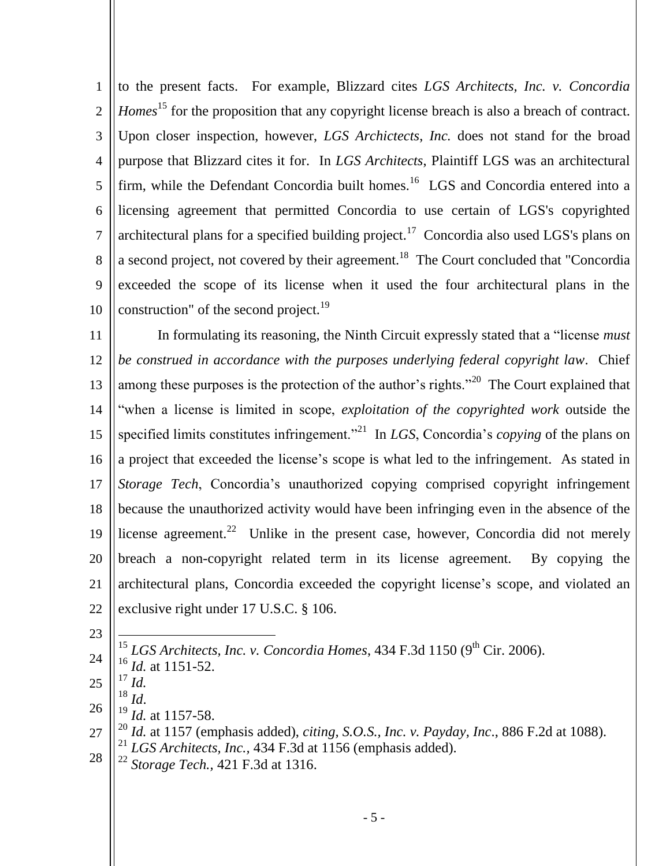1 2 3 4 5 6 7 8 9 10 to the present facts. For example, Blizzard cites *LGS Architects, Inc. v. Concordia Homes*<sup>15</sup> for the proposition that any copyright license breach is also a breach of contract. Upon closer inspection, however, *LGS Archictects*, *Inc.* does not stand for the broad purpose that Blizzard cites it for. In *LGS Architects*, Plaintiff LGS was an architectural firm, while the Defendant Concordia built homes.<sup>16</sup> LGS and Concordia entered into a licensing agreement that permitted Concordia to use certain of LGS's copyrighted architectural plans for a specified building project.<sup>17</sup> Concordia also used LGS's plans on a second project, not covered by their agreement.<sup>18</sup> The Court concluded that "Concordia exceeded the scope of its license when it used the four architectural plans in the construction" of the second project.<sup>19</sup>

11 12 13 14 15 16 17 18 19 20 21 22 In formulating its reasoning, the Ninth Circuit expressly stated that a "license *must be construed in accordance with the purposes underlying federal copyright law*. Chief among these purposes is the protection of the author's rights.<sup>220</sup> The Court explained that ―when a license is limited in scope, *exploitation of the copyrighted work* outside the specified limits constitutes infringement.<sup>221</sup> In *LGS*, Concordia's *copying* of the plans on a project that exceeded the license's scope is what led to the infringement. As stated in *Storage Tech*, Concordia's unauthorized copying comprised copyright infringement because the unauthorized activity would have been infringing even in the absence of the license agreement.<sup>22</sup> Unlike in the present case, however, Concordia did not merely breach a non-copyright related term in its license agreement. By copying the architectural plans, Concordia exceeded the copyright license's scope, and violated an exclusive right under 17 U.S.C. § 106.

23

24  $\overline{a}$ <sup>15</sup> LGS Architects, Inc. v. Concordia Homes, 434 F.3d 1150 (9<sup>th</sup> Cir. 2006). <sup>16</sup> *Id.* at 1151-52.

25 <sup>17</sup> *Id.*

<sup>18</sup> *Id*.

- 26 *Id.* at 1157-58.
- 27 28 *Id.* at 1157 (emphasis added), *citing, S.O.S., Inc. v. Payday, Inc.*, 886 F.2d at 1088). <sup>21</sup> *LGS Architects, Inc.,* 434 F.3d at 1156 (emphasis added).
- <sup>22</sup> *Storage Tech.,* 421 F.3d at 1316.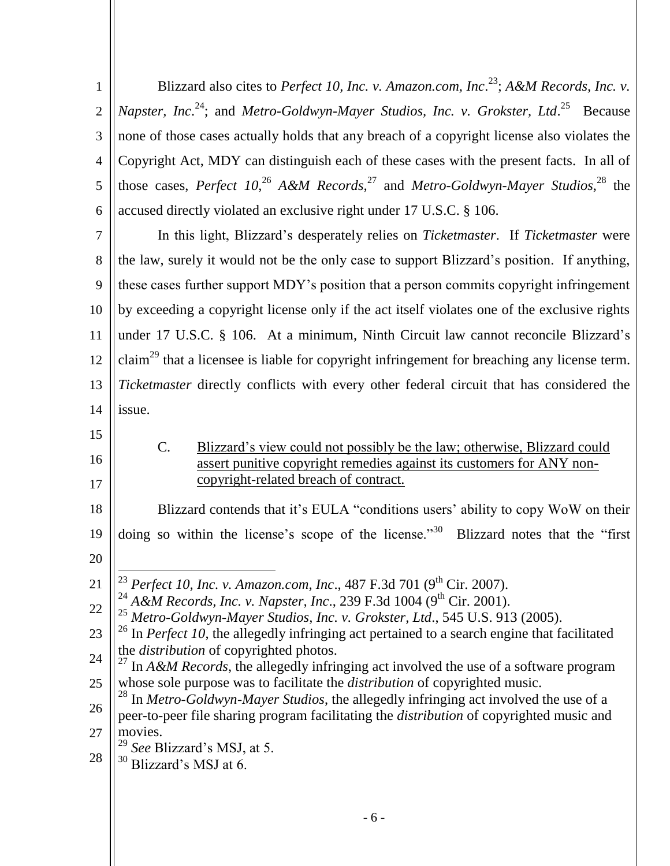<span id="page-8-0"></span>

| $\mathbf{1}$   | Blizzard also cites to Perfect 10, Inc. v. Amazon.com, Inc. <sup>23</sup> ; A&M Records, Inc. v.                                                                               |
|----------------|--------------------------------------------------------------------------------------------------------------------------------------------------------------------------------|
| $\overline{2}$ | <i>Napster</i> , <i>Inc.</i> <sup>24</sup> ; and <i>Metro-Goldwyn-Mayer Studios, Inc. v. Grokster, Ltd.</i> <sup>25</sup> Because                                              |
| 3              | none of those cases actually holds that any breach of a copyright license also violates the                                                                                    |
| $\overline{4}$ | Copyright Act, MDY can distinguish each of these cases with the present facts. In all of                                                                                       |
| 5              | those cases, Perfect 10, <sup>26</sup> A&M Records, <sup>27</sup> and Metro-Goldwyn-Mayer Studios, <sup>28</sup> the                                                           |
| 6              | accused directly violated an exclusive right under 17 U.S.C. § 106.                                                                                                            |
| 7              | In this light, Blizzard's desperately relies on Ticketmaster. If Ticketmaster were                                                                                             |
| 8              | the law, surely it would not be the only case to support Blizzard's position. If anything,                                                                                     |
| 9              | these cases further support MDY's position that a person commits copyright infringement                                                                                        |
| 10             | by exceeding a copyright license only if the act itself violates one of the exclusive rights                                                                                   |
| 11             | under 17 U.S.C. § 106. At a minimum, Ninth Circuit law cannot reconcile Blizzard's                                                                                             |
| 12             | claim <sup>29</sup> that a licensee is liable for copyright infringement for breaching any license term.                                                                       |
| 13             | Ticketmaster directly conflicts with every other federal circuit that has considered the                                                                                       |
| 14             | issue.                                                                                                                                                                         |
|                |                                                                                                                                                                                |
| 15             |                                                                                                                                                                                |
| 16             | $C$ .<br>Blizzard's view could not possibly be the law; otherwise, Blizzard could<br>assert punitive copyright remedies against its customers for ANY non-                     |
| 17             | copyright-related breach of contract.                                                                                                                                          |
| 18             | Blizzard contends that it's EULA "conditions users' ability to copy WoW on their                                                                                               |
| 19             | doing so within the license's scope of the license." <sup>30</sup> Blizzard notes that the "first"                                                                             |
|                |                                                                                                                                                                                |
|                | <sup>23</sup> Perfect 10, Inc. v. Amazon.com, Inc., 487 F.3d 701 (9 <sup>th</sup> Cir. 2007).                                                                                  |
| 20<br>21<br>22 | A&M Records, Inc. v. Napster, Inc., 239 F.3d 1004 (9 <sup>th</sup> Cir. 2001).                                                                                                 |
| 23             | Metro-Goldwyn-Mayer Studios, Inc. v. Grokster, Ltd., 545 U.S. 913 (2005).<br>In Perfect 10, the allegedly infringing act pertained to a search engine that facilitated         |
| 24             | the <i>distribution</i> of copyrighted photos.<br><sup>27</sup> In $A\&M$ Records, the allegedly infringing act involved the use of a software program                         |
| 25             | whose sole purpose was to facilitate the <i>distribution</i> of copyrighted music.                                                                                             |
| 26             | In Metro-Goldwyn-Mayer Studios, the allegedly infringing act involved the use of a<br>peer-to-peer file sharing program facilitating the distribution of copyrighted music and |
| 27             | movies.<br>29                                                                                                                                                                  |
| 28             | See Blizzard's MSJ, at 5.<br>30<br>Blizzard's MSJ at 6.                                                                                                                        |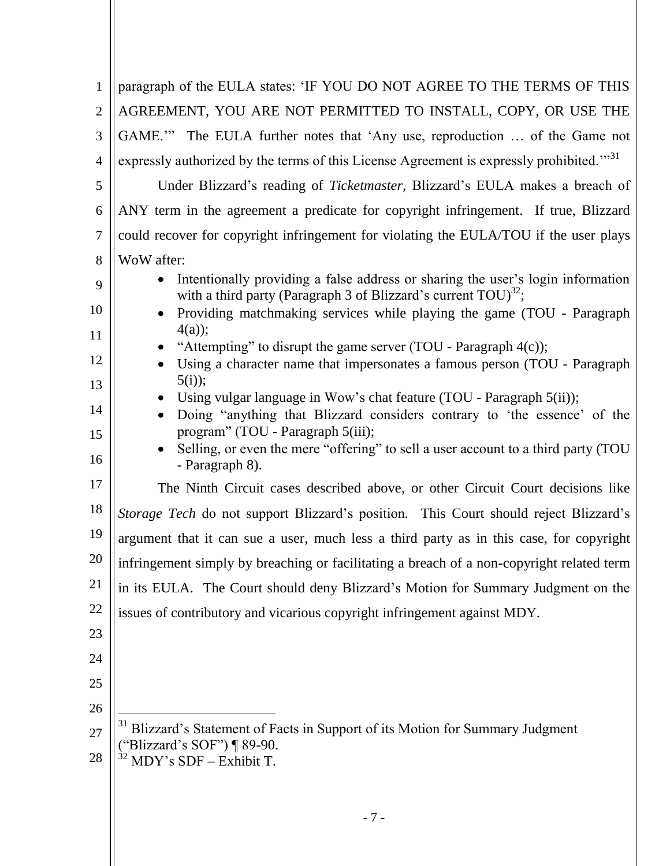| 1              | paragraph of the EULA states: 'IF YOU DO NOT AGREE TO THE TERMS OF THIS                                                                                |
|----------------|--------------------------------------------------------------------------------------------------------------------------------------------------------|
| $\overline{2}$ | AGREEMENT, YOU ARE NOT PERMITTED TO INSTALL, COPY, OR USE THE                                                                                          |
| 3              | GAME."" The EULA further notes that 'Any use, reproduction  of the Game not                                                                            |
| 4              | expressly authorized by the terms of this License Agreement is expressly prohibited." <sup>31</sup>                                                    |
| 5              | Under Blizzard's reading of <i>Ticketmaster</i> , Blizzard's EULA makes a breach of                                                                    |
| 6              | ANY term in the agreement a predicate for copyright infringement. If true, Blizzard                                                                    |
| $\tau$         | could recover for copyright infringement for violating the EULA/TOU if the user plays                                                                  |
| 8              | WoW after:                                                                                                                                             |
| 9              | Intentionally providing a false address or sharing the user's login information<br>with a third party (Paragraph 3 of Blizzard's current $TOU)^{32}$ ; |
| 10             | Providing matchmaking services while playing the game (TOU - Paragraph                                                                                 |
| 11             | $4(a)$ ;<br>"Attempting" to disrupt the game server (TOU - Paragraph $4(c)$ );                                                                         |
| 12             | Using a character name that impersonates a famous person (TOU - Paragraph                                                                              |
| 13             | $5(i)$ ;<br>Using vulgar language in Wow's chat feature (TOU - Paragraph 5(ii));                                                                       |
| 14             | Doing "anything that Blizzard considers contrary to 'the essence' of the                                                                               |
| 15             | program" (TOU - Paragraph 5(iii);<br>Selling, or even the mere "offering" to sell a user account to a third party (TOU                                 |
| 16             | - Paragraph 8).                                                                                                                                        |
| 17             | The Ninth Circuit cases described above, or other Circuit Court decisions like                                                                         |
| 18             | Storage Tech do not support Blizzard's position. This Court should reject Blizzard's                                                                   |
| 19             | argument that it can sue a user, much less a third party as in this case, for copyright                                                                |
| 20             | infringement simply by breaching or facilitating a breach of a non-copyright related term                                                              |
| 21             | in its EULA. The Court should deny Blizzard's Motion for Summary Judgment on the                                                                       |
| 22             | issues of contributory and vicarious copyright infringement against MDY.                                                                               |
| 23             |                                                                                                                                                        |
| 24             |                                                                                                                                                        |
| 25             |                                                                                                                                                        |
| 26             |                                                                                                                                                        |
| 27             | <sup>31</sup> Blizzard's Statement of Facts in Support of its Motion for Summary Judgment<br>"Blizzard's SOF") ¶ 89-90.                                |
| 28             | MDY's SDF - Exhibit T.                                                                                                                                 |
|                |                                                                                                                                                        |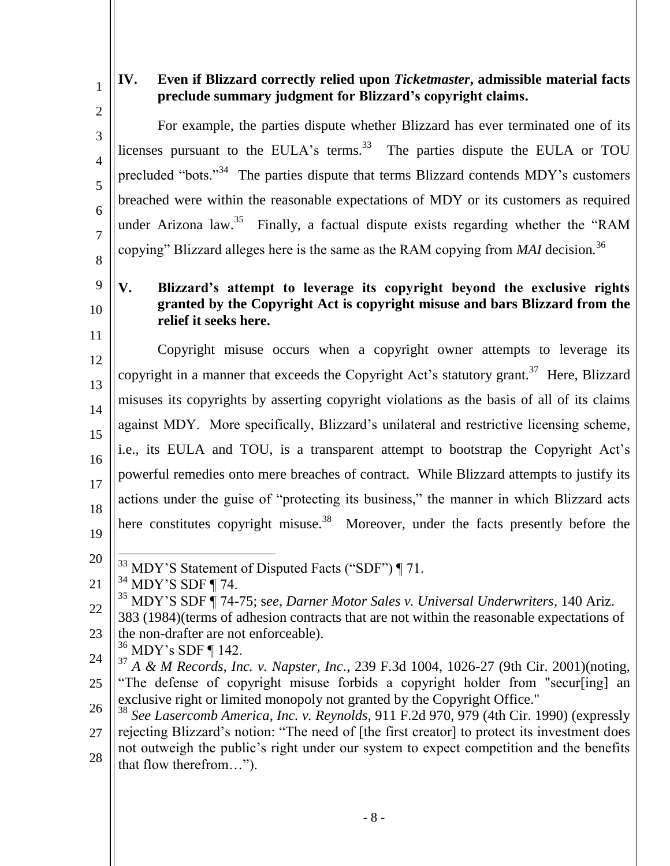| ă |  |
|---|--|

# <span id="page-10-0"></span>**IV. Even if Blizzard correctly relied upon** *Ticketmaster***, admissible material facts preclude summary judgment for Blizzard's copyright claims.**

<span id="page-10-1"></span>2 3 4 5 6 7 8 9 10 11 12 13 14 15 16 17 18 19 20 21 22 23 24 25 26 27 28 For example, the parties dispute whether Blizzard has ever terminated one of its licenses pursuant to the EULA's terms.<sup>33</sup> The parties dispute the EULA or TOU precluded "bots."<sup>34</sup> The parties dispute that terms Blizzard contends MDY's customers breached were within the reasonable expectations of MDY or its customers as required under Arizona law.<sup>35</sup> Finally, a factual dispute exists regarding whether the "RAM copying" Blizzard alleges here is the same as the RAM copying from *MAI* decision.<sup>36</sup> **V. Blizzard's attempt to leverage its copyright beyond the exclusive rights granted by the Copyright Act is copyright misuse and bars Blizzard from the relief it seeks here.** Copyright misuse occurs when a copyright owner attempts to leverage its copyright in a manner that exceeds the Copyright Act's statutory grant.<sup>37</sup> Here, Blizzard misuses its copyrights by asserting copyright violations as the basis of all of its claims against MDY. More specifically, Blizzard's unilateral and restrictive licensing scheme, i.e., its EULA and TOU, is a transparent attempt to bootstrap the Copyright Act's powerful remedies onto mere breaches of contract. While Blizzard attempts to justify its actions under the guise of "protecting its business," the manner in which Blizzard acts here constitutes copyright misuse.<sup>38</sup> Moreover, under the facts presently before the  $\overline{a}$  $33$  MDY'S Statement of Disputed Facts ("SDF") ¶ 71.  $34$  MDY'S SDF ¶ 74. <sup>35</sup> MDY'S SDF ¶ 74-75; s*ee, Darner Motor Sales v. Universal Underwriters*, 140 Ariz. 383 (1984)(terms of adhesion contracts that are not within the reasonable expectations of the non-drafter are not enforceable).  $36$  MDY's SDF ¶ 142. <sup>37</sup> *A & M Records, Inc. v. Napster, Inc*., 239 F.3d 1004, 1026-27 (9th Cir. 2001)(noting, ―The defense of copyright misuse forbids a copyright holder from "secur[ing] an exclusive right or limited monopoly not granted by the Copyright Office." <sup>38</sup> *See Lasercomb America, Inc. v. Reynolds,* 911 F.2d 970, 979 (4th Cir. 1990) (expressly rejecting Blizzard's notion: "The need of [the first creator] to protect its investment does not outweigh the public's right under our system to expect competition and the benefits that flow therefrom…").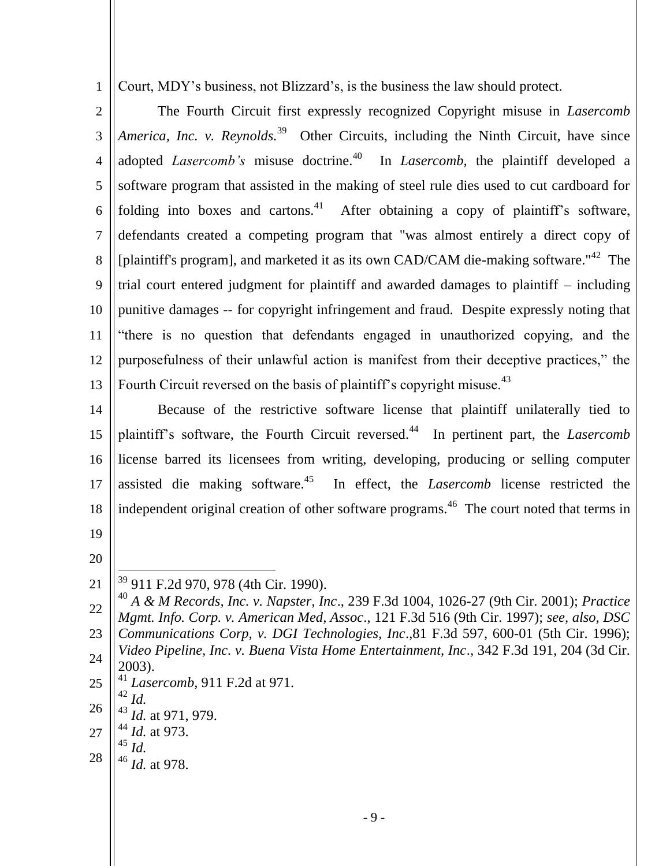Court, MDY's business, not Blizzard's, is the business the law should protect.

2 3 4 5 6 7 8 9 10 11 12 13 The Fourth Circuit first expressly recognized Copyright misuse in *Lasercomb*  America, Inc. v. Reynolds.<sup>39</sup> Other Circuits, including the Ninth Circuit, have since adopted *Lasercomb's* misuse doctrine.<sup>40</sup> In *Lasercomb*, the plaintiff developed a software program that assisted in the making of steel rule dies used to cut cardboard for folding into boxes and cartons.<sup>41</sup> After obtaining a copy of plaintiff's software, defendants created a competing program that "was almost entirely a direct copy of [plaintiff's program], and marketed it as its own CAD/CAM die-making software."<sup>42</sup> The trial court entered judgment for plaintiff and awarded damages to plaintiff – including punitive damages -- for copyright infringement and fraud. Despite expressly noting that ―there is no question that defendants engaged in unauthorized copying, and the purposefulness of their unlawful action is manifest from their deceptive practices," the Fourth Circuit reversed on the basis of plaintiff's copyright misuse.<sup>43</sup>

14 15 16 17 18 Because of the restrictive software license that plaintiff unilaterally tied to plaintiff's software, the Fourth Circuit reversed.<sup>44</sup> In pertinent part, the *Lasercomb* license barred its licensees from writing, developing, producing or selling computer assisted die making software.<sup>45</sup> In effect, the *Lasercomb* license restricted the independent original creation of other software programs.<sup>46</sup> The court noted that terms in

19

1

20

 $\overline{a}$ 

21

- 25 <sup>42</sup> *Id.*
- 26 <sup>43</sup> *Id.* at 971, 979.
- 27 <sup>44</sup> *Id.* at 973.
- <sup>45</sup> *Id.*
- 28 <sup>46</sup> *Id.* at 978.

<sup>&</sup>lt;sup>39</sup> 911 F.2d 970, 978 (4th Cir. 1990).

<sup>22</sup> 23 24 <sup>40</sup> *A & M Records, Inc. v. Napster, Inc*., 239 F.3d 1004, 1026-27 (9th Cir. 2001); *Practice Mgmt. Info. Corp. v. American Med, Assoc*., 121 F.3d 516 (9th Cir. 1997); *see, also, DSC Communications Corp, v. DGI Technologies, Inc*.,81 F.3d 597, 600-01 (5th Cir. 1996); *Video Pipeline, Inc. v. Buena Vista Home Entertainment, Inc*., 342 F.3d 191, 204 (3d Cir. 2003). <sup>41</sup> *Lasercomb,* 911 F.2d at 971.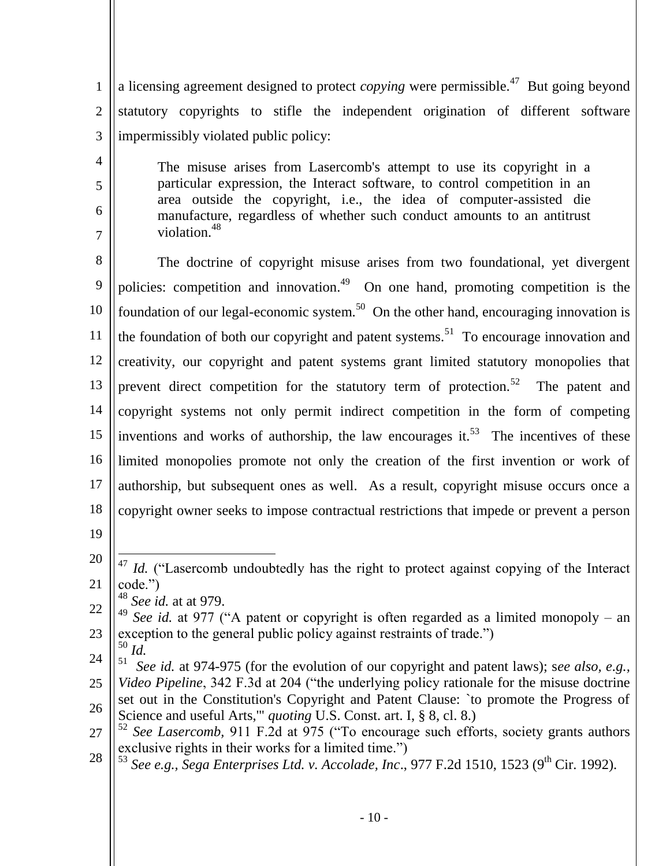1 2 3 a licensing agreement designed to protect *copying* were permissible.<sup>47</sup> But going beyond statutory copyrights to stifle the independent origination of different software impermissibly violated public policy:

The misuse arises from Lasercomb's attempt to use its copyright in a particular expression, the Interact software, to control competition in an area outside the copyright, i.e., the idea of computer-assisted die manufacture, regardless of whether such conduct amounts to an antitrust violation.<sup>48</sup>

8 9 10 11 12 13 14 15 16 17 18 The doctrine of copyright misuse arises from two foundational, yet divergent policies: competition and innovation.<sup>49</sup> On one hand, promoting competition is the foundation of our legal-economic system.<sup>50</sup> On the other hand, encouraging innovation is the foundation of both our copyright and patent systems.<sup>51</sup> To encourage innovation and creativity, our copyright and patent systems grant limited statutory monopolies that prevent direct competition for the statutory term of protection.<sup>52</sup> The patent and copyright systems not only permit indirect competition in the form of competing inventions and works of authorship, the law encourages it.<sup>53</sup> The incentives of these limited monopolies promote not only the creation of the first invention or work of authorship, but subsequent ones as well. As a result, copyright misuse occurs once a copyright owner seeks to impose contractual restrictions that impede or prevent a person

19

4

5

6

7

<sup>48</sup> *See id.* at at 979.

22 23 <sup>49</sup> *See id.* at 977 ("A patent or copyright is often regarded as a limited monopoly – an exception to the general public policy against restraints of trade.")

- 24 <sup>50</sup> *Id.*
- 25 26 51 *See id.* at 974-975 (for the evolution of our copyright and patent laws); s*ee also, e.g., Video Pipeline*, 342 F.3d at 204 ("the underlying policy rationale for the misuse doctrine set out in the Constitution's Copyright and Patent Clause: `to promote the Progress of Science and useful Arts,'" *quoting* U.S. Const. art. I, § 8, cl. 8.)
- 27 <sup>52</sup> See Lasercomb, 911 F.2d at 975 ("To encourage such efforts, society grants authors exclusive rights in their works for a limited time."
- 28 <sup>53</sup> See e.g., Sega Enterprises Ltd. v. Accolade, Inc., 977 F.2d 1510, 1523 (9<sup>th</sup> Cir. 1992).

<sup>20</sup> 21  $\overline{a}$ <sup>47</sup> *Id.* ("Lasercomb undoubtedly has the right to protect against copying of the Interact code.")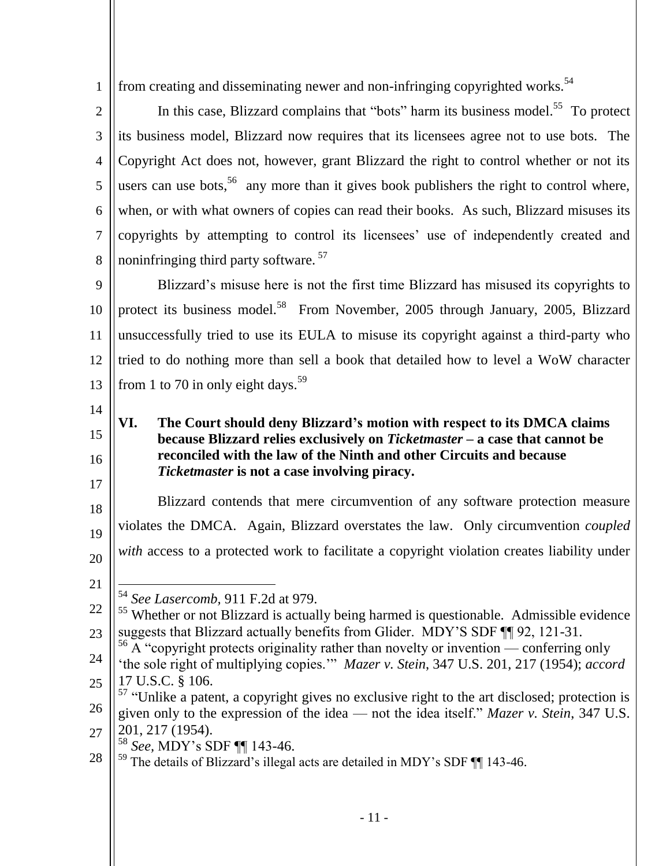1 from creating and disseminating newer and non-infringing convrighted works.<sup>54</sup>

| $\overline{2}$ | In this case, Blizzard complains that "bots" harm its business model. <sup>55</sup> To protect                                                         |
|----------------|--------------------------------------------------------------------------------------------------------------------------------------------------------|
| 3              | its business model, Blizzard now requires that its licensees agree not to use bots. The                                                                |
| $\overline{4}$ | Copyright Act does not, however, grant Blizzard the right to control whether or not its                                                                |
| 5              | users can use bots, <sup>56</sup> any more than it gives book publishers the right to control where,                                                   |
| 6              | when, or with what owners of copies can read their books. As such, Blizzard misuses its                                                                |
| $\tau$         | copyrights by attempting to control its licensees' use of independently created and                                                                    |
| 8              | noninfringing third party software. <sup>57</sup>                                                                                                      |
| 9              | Blizzard's misuse here is not the first time Blizzard has misused its copyrights to                                                                    |
| 10             | protect its business model. <sup>58</sup> From November, 2005 through January, 2005, Blizzard                                                          |
| 11             | unsuccessfully tried to use its EULA to misuse its copyright against a third-party who                                                                 |
| 12             | tried to do nothing more than sell a book that detailed how to level a WoW character                                                                   |
| 13             | from 1 to 70 in only eight days. <sup>59</sup>                                                                                                         |
| 14             | VI.                                                                                                                                                    |
| 15             | The Court should deny Blizzard's motion with respect to its DMCA claims<br>because Blizzard relies exclusively on Ticketmaster – a case that cannot be |
| 16             | reconciled with the law of the Ninth and other Circuits and because<br><i>Ticketmaster</i> is not a case involving piracy.                             |
| 17             |                                                                                                                                                        |
| 18             | Blizzard contends that mere circumvention of any software protection measure                                                                           |
| 19             | violates the DMCA. Again, Blizzard overstates the law. Only circumvention <i>coupled</i>                                                               |
| 20             | with access to a protected work to facilitate a copyright violation creates liability under                                                            |

<span id="page-13-0"></span>21

22 23 <sup>55</sup> Whether or not Blizzard is actually being harmed is questionable. Admissible evidence suggests that Blizzard actually benefits from Glider. MDY'S SDF ¶¶ 92, 121-31.

- 24  $56$  A "copyright protects originality rather than novelty or invention — conferring only ‗the sole right of multiplying copies.'‖ *Mazer v. Stein*, 347 U.S. 201, 217 (1954); *accord*
- 25 17 U.S.C. § 106.
- 26  $57$  "Unlike a patent, a copyright gives no exclusive right to the art disclosed; protection is given only to the expression of the idea — not the idea itself." Mazer v. Stein, 347 U.S.
- 27 201, 217 (1954).
	- <sup>58</sup> *See,* MDY's SDF ¶¶ 143-46.
- 28  $59$  The details of Blizzard's illegal acts are detailed in MDY's SDF  $\P$  143-46.

 $\overline{a}$ <sup>54</sup> *See Lasercomb,* 911 F.2d at 979.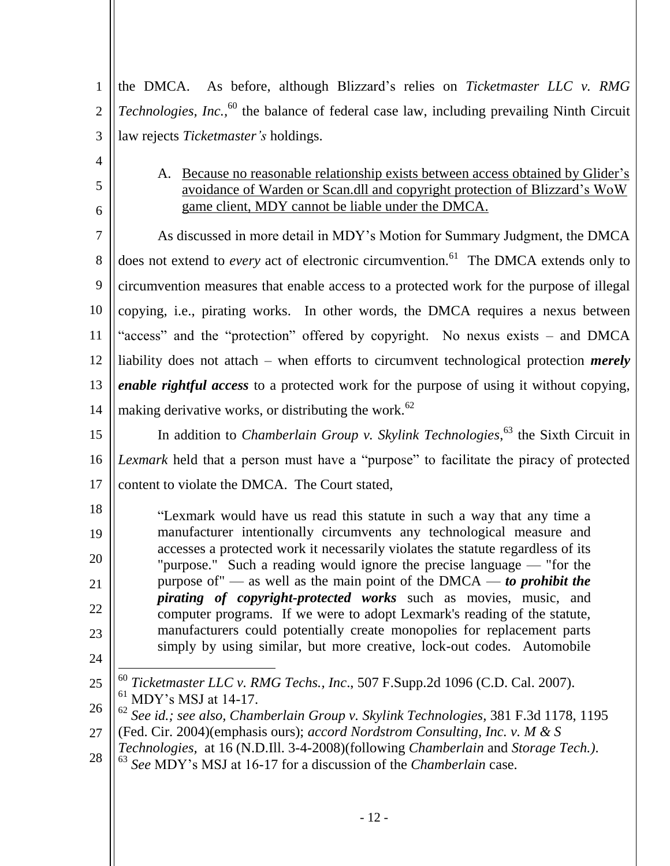1 2 3 the DMCA. As before, although Blizzard's relies on *Ticketmaster LLC v. RMG Technologies, Inc.,* <sup>60</sup> the balance of federal case law, including prevailing Ninth Circuit law rejects *Ticketmaster's* holdings.

<span id="page-14-0"></span>4

5

6

A. Because no reasonable relationship exists between access obtained by Glider's avoidance of Warden or Scan.dll and copyright protection of Blizzard's WoW game client, MDY cannot be liable under the DMCA.

7 8 9 10 11 12 13 14 As discussed in more detail in MDY's Motion for Summary Judgment, the DMCA does not extend to *every* act of electronic circumvention.<sup>61</sup> The DMCA extends only to circumvention measures that enable access to a protected work for the purpose of illegal copying, i.e., pirating works. In other words, the DMCA requires a nexus between "access" and the "protection" offered by copyright. No nexus exists – and DMCA liability does not attach – when efforts to circumvent technological protection *merely enable rightful access* to a protected work for the purpose of using it without copying, making derivative works, or distributing the work. $62$ 

15 16 17 In addition to *Chamberlain Group v. Skylink Technologies*, <sup>63</sup> the Sixth Circuit in *Lexmark* held that a person must have a "purpose" to facilitate the piracy of protected content to violate the DMCA. The Court stated,

18 19 20 21 22 23 24 ―Lexmark would have us read this statute in such a way that any time a manufacturer intentionally circumvents any technological measure and accesses a protected work it necessarily violates the statute regardless of its "purpose." Such a reading would ignore the precise language — "for the purpose of" — as well as the main point of the DMCA — *to prohibit the pirating of copyright-protected works* such as movies, music, and computer programs. If we were to adopt Lexmark's reading of the statute, manufacturers could potentially create monopolies for replacement parts simply by using similar, but more creative, lock-out codes. Automobile

- 25  $\overline{a}$ <sup>60</sup> *Ticketmaster LLC v. RMG Techs., Inc*., 507 F.Supp.2d 1096 (C.D. Cal. 2007).  $<sup>61</sup>$  MDY's MSJ at 14-17.</sup>
- 26 <sup>62</sup> *See id.; see also, Chamberlain Group v. Skylink Technologies,* 381 F.3d 1178, 1195
- 27 (Fed. Cir. 2004)(emphasis ours); *accord Nordstrom Consulting, Inc. v. M & S*
- 28 *Technologies,* at 16 (N.D.Ill. 3-4-2008)(following *Chamberlain* and *Storage Tech.)*.
- <sup>63</sup> *See* MDY's MSJ at 16-17 for a discussion of the *Chamberlain* case.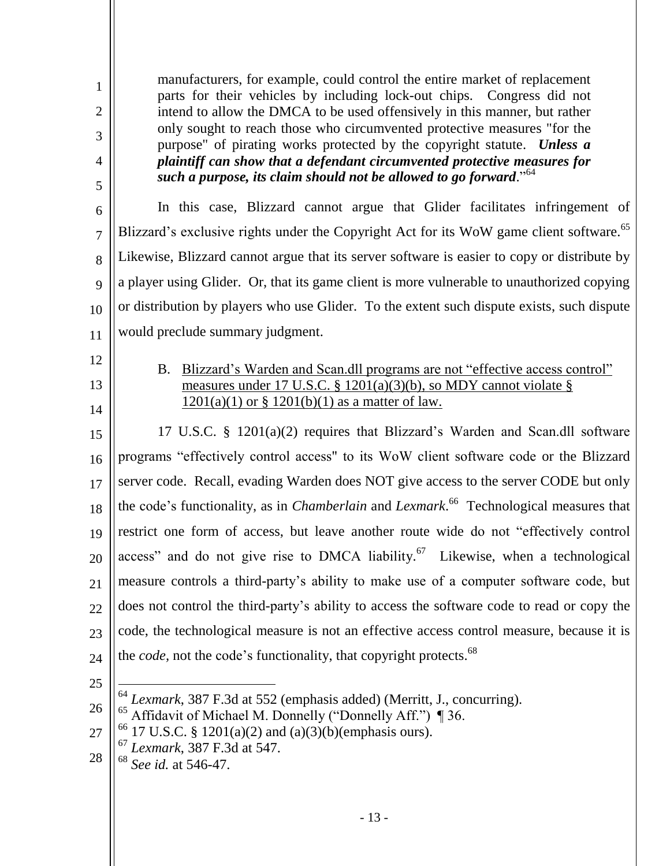<span id="page-15-0"></span>

| $\mathbf{1}$<br>$\overline{2}$<br>3<br>4<br>5 | manufacturers, for example, could control the entire market of replacement<br>parts for their vehicles by including lock-out chips. Congress did not<br>intend to allow the DMCA to be used offensively in this manner, but rather<br>only sought to reach those who circumvented protective measures "for the<br>purpose" of pirating works protected by the copyright statute. Unless a<br>plaintiff can show that a defendant circumvented protective measures for<br>such a purpose, its claim should not be allowed to go forward." <sup>64</sup> |
|-----------------------------------------------|--------------------------------------------------------------------------------------------------------------------------------------------------------------------------------------------------------------------------------------------------------------------------------------------------------------------------------------------------------------------------------------------------------------------------------------------------------------------------------------------------------------------------------------------------------|
| 6                                             | In this case, Blizzard cannot argue that Glider facilitates infringement of                                                                                                                                                                                                                                                                                                                                                                                                                                                                            |
| $\overline{7}$                                | Blizzard's exclusive rights under the Copyright Act for its WoW game client software. <sup>65</sup>                                                                                                                                                                                                                                                                                                                                                                                                                                                    |
| 8                                             | Likewise, Blizzard cannot argue that its server software is easier to copy or distribute by                                                                                                                                                                                                                                                                                                                                                                                                                                                            |
| 9                                             | a player using Glider. Or, that its game client is more vulnerable to unauthorized copying                                                                                                                                                                                                                                                                                                                                                                                                                                                             |
| 10                                            | or distribution by players who use Glider. To the extent such dispute exists, such dispute                                                                                                                                                                                                                                                                                                                                                                                                                                                             |
| 11                                            | would preclude summary judgment.                                                                                                                                                                                                                                                                                                                                                                                                                                                                                                                       |
| 12                                            | Blizzard's Warden and Scan.dll programs are not "effective access control"<br><b>B.</b>                                                                                                                                                                                                                                                                                                                                                                                                                                                                |
| 13                                            | measures under 17 U.S.C. § 1201(a)(3)(b), so MDY cannot violate §                                                                                                                                                                                                                                                                                                                                                                                                                                                                                      |
| 14                                            | $1201(a)(1)$ or § 1201(b)(1) as a matter of law.                                                                                                                                                                                                                                                                                                                                                                                                                                                                                                       |
| 15                                            | 17 U.S.C. § 1201(a)(2) requires that Blizzard's Warden and Scan.dll software                                                                                                                                                                                                                                                                                                                                                                                                                                                                           |
| 16                                            | programs "effectively control access" to its WoW client software code or the Blizzard                                                                                                                                                                                                                                                                                                                                                                                                                                                                  |
| 17                                            | server code. Recall, evading Warden does NOT give access to the server CODE but only                                                                                                                                                                                                                                                                                                                                                                                                                                                                   |
| 18                                            | the code's functionality, as in <i>Chamberlain</i> and <i>Lexmark</i> . <sup>66</sup> Technological measures that                                                                                                                                                                                                                                                                                                                                                                                                                                      |
| 19                                            | restrict one form of access, but leave another route wide do not "effectively control                                                                                                                                                                                                                                                                                                                                                                                                                                                                  |
| 20                                            | access" and do not give rise to DMCA liability. <sup>67</sup> Likewise, when a technological                                                                                                                                                                                                                                                                                                                                                                                                                                                           |
| 21                                            | measure controls a third-party's ability to make use of a computer software code, but                                                                                                                                                                                                                                                                                                                                                                                                                                                                  |
| 22                                            | does not control the third-party's ability to access the software code to read or copy the                                                                                                                                                                                                                                                                                                                                                                                                                                                             |
| 23                                            | code, the technological measure is not an effective access control measure, because it is                                                                                                                                                                                                                                                                                                                                                                                                                                                              |
| 24                                            | the <i>code</i> , not the code's functionality, that copyright protects. <sup>68</sup>                                                                                                                                                                                                                                                                                                                                                                                                                                                                 |
| 25                                            |                                                                                                                                                                                                                                                                                                                                                                                                                                                                                                                                                        |
| 26                                            | 64<br>Lexmark, 387 F.3d at 552 (emphasis added) (Merritt, J., concurring).<br>65<br>Affidavit of Michael M. Donnelly ("Donnelly Aff.") ¶ 36.                                                                                                                                                                                                                                                                                                                                                                                                           |
| 27                                            | <sup>66</sup> 17 U.S.C. § 1201(a)(2) and (a)(3)(b)(emphasis ours).                                                                                                                                                                                                                                                                                                                                                                                                                                                                                     |
| 28                                            | Lexmark, 387 F.3d at 547.<br>68<br>See id. at 546-47.                                                                                                                                                                                                                                                                                                                                                                                                                                                                                                  |
|                                               |                                                                                                                                                                                                                                                                                                                                                                                                                                                                                                                                                        |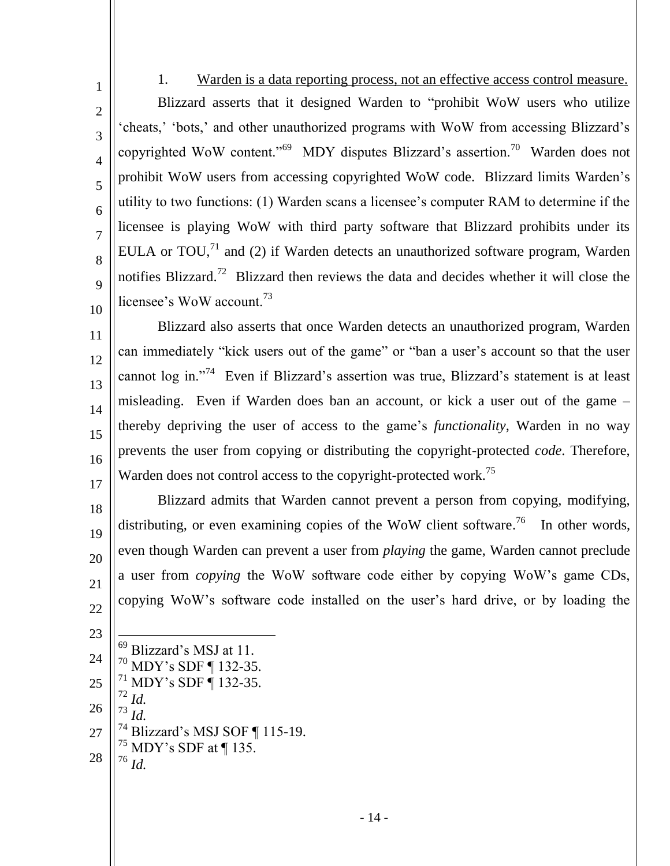4 6 10 1. Warden is a data reporting process, not an effective access control measure. Blizzard asserts that it designed Warden to "prohibit WoW users who utilize ‗cheats,' ‗bots,' and other unauthorized programs with WoW from accessing Blizzard's copyrighted WoW content."<sup>69</sup> MDY disputes Blizzard's assertion.<sup>70</sup> Warden does not prohibit WoW users from accessing copyrighted WoW code. Blizzard limits Warden's utility to two functions: (1) Warden scans a licensee's computer RAM to determine if the licensee is playing WoW with third party software that Blizzard prohibits under its EULA or TOU, $^{71}$  and (2) if Warden detects an unauthorized software program, Warden notifies Blizzard.<sup>72</sup> Blizzard then reviews the data and decides whether it will close the licensee's WoW account.<sup>73</sup>

11 12 13 14 15 16 17 Blizzard also asserts that once Warden detects an unauthorized program, Warden can immediately "kick users out of the game" or "ban a user's account so that the user cannot log in.<sup>774</sup> Even if Blizzard's assertion was true, Blizzard's statement is at least misleading. Even if Warden does ban an account, or kick a user out of the game – thereby depriving the user of access to the game's *functionality*, Warden in no way prevents the user from copying or distributing the copyright-protected *code*. Therefore, Warden does not control access to the copyright-protected work.<sup>75</sup>

- 18 19 20 21 22 Blizzard admits that Warden cannot prevent a person from copying, modifying, distributing, or even examining copies of the WoW client software.<sup>76</sup> In other words, even though Warden can prevent a user from *playing* the game, Warden cannot preclude a user from *copying* the WoW software code either by copying WoW's game CDs, copying WoW's software code installed on the user's hard drive, or by loading the
- 23 24 25 26 27 28  $\overline{a}$ <sup>69</sup> Blizzard's MSJ at 11. <sup>70</sup> MDY's SDF ¶ 132-35.  $71$  MDY's SDF ¶ 132-35. <sup>72</sup> *Id. Id.* Blizzard's MSJ SOF ¶ 115-19.  $^{75}$  MDY's SDF at ¶ 135. <sup>76</sup> *Id.*

<span id="page-16-0"></span>1

2

3

5

7

8

 $\overline{Q}$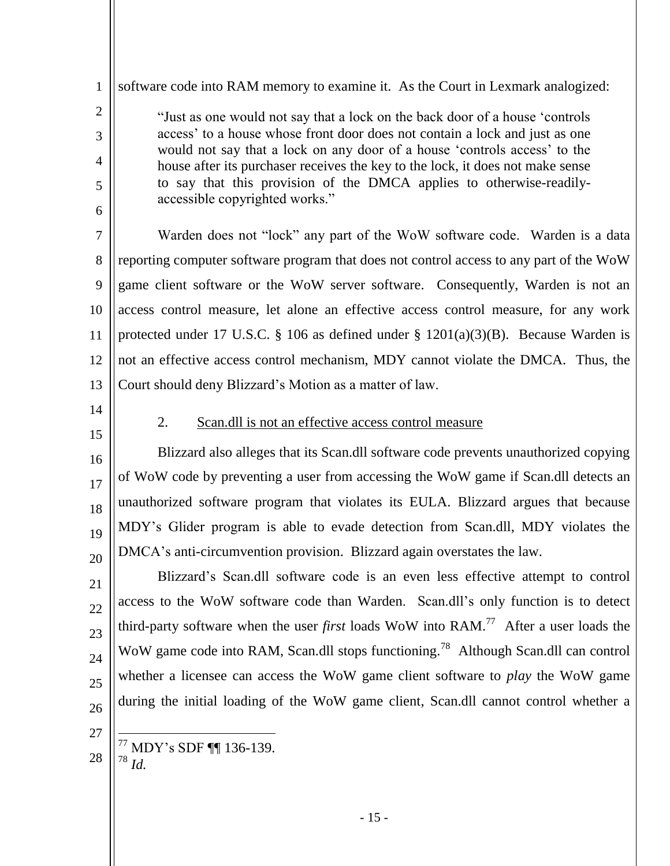"Just as one would not say that a lock on the back door of a house 'controls' access' to a house whose front door does not contain a lock and just as one would not say that a lock on any door of a house 'controls access' to the house after its purchaser receives the key to the lock, it does not make sense to say that this provision of the DMCA applies to otherwise-readilyaccessible copyrighted works."

software code into RAM memory to examine it. As the Court in Lexmark analogized:

7 8 9 10 11 12 13 Warden does not "lock" any part of the WoW software code. Warden is a data reporting computer software program that does not control access to any part of the WoW game client software or the WoW server software. Consequently, Warden is not an access control measure, let alone an effective access control measure, for any work protected under 17 U.S.C. § 106 as defined under §  $1201(a)(3)(B)$ . Because Warden is not an effective access control mechanism, MDY cannot violate the DMCA. Thus, the Court should deny Blizzard's Motion as a matter of law.

<span id="page-17-0"></span>14

1

2

3

4

5

6

15

16

17

18

19

20

21

### 2. Scan.dll is not an effective access control measure

Blizzard also alleges that its Scan.dll software code prevents unauthorized copying of WoW code by preventing a user from accessing the WoW game if Scan.dll detects an unauthorized software program that violates its EULA. Blizzard argues that because MDY's Glider program is able to evade detection from Scan.dll, MDY violates the DMCA's anti-circumvention provision. Blizzard again overstates the law.

22 23  $24$ 25 26 Blizzard's Scan.dll software code is an even less effective attempt to control access to the WoW software code than Warden. Scan.dll's only function is to detect third-party software when the user *first* loads WoW into RAM. 77 After a user loads the WoW game code into RAM, Scan.dll stops functioning.<sup>78</sup> Although Scan.dll can control whether a licensee can access the WoW game client software to *play* the WoW game during the initial loading of the WoW game client, Scan.dll cannot control whether a

27

28

 $\overline{a}$ <sup>77</sup> MDY's SDF ¶¶ 136-139. <sup>78</sup> *Id.*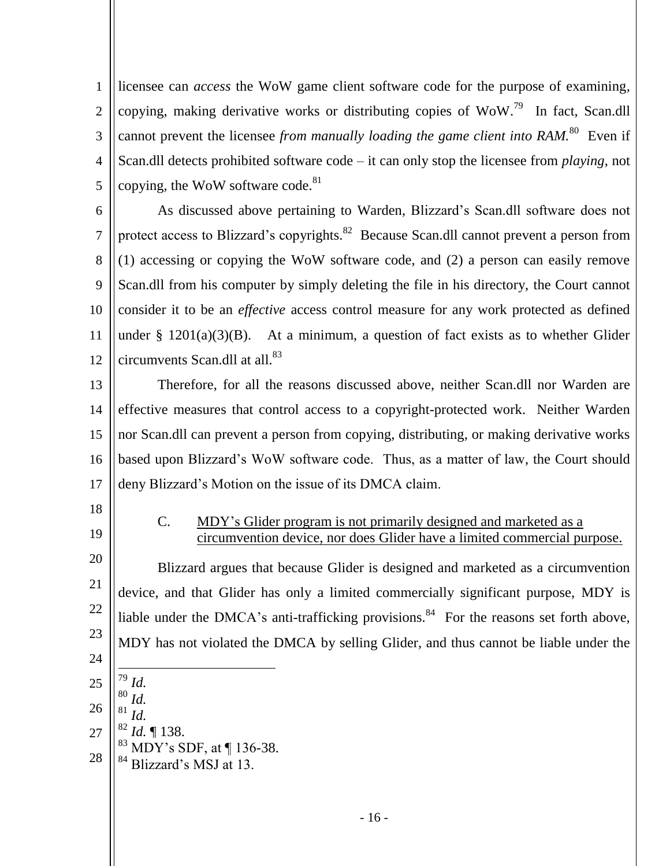1 2 3 4 5 licensee can *access* the WoW game client software code for the purpose of examining, copying, making derivative works or distributing copies of  $WoW.^{79}$  In fact, Scan.dll cannot prevent the licensee *from manually loading the game client into RAM*.<sup>80</sup> Even if Scan.dll detects prohibited software code – it can only stop the licensee from *playing*, not copying, the WoW software code. $81$ 

6 7 8 9 10 11 12 As discussed above pertaining to Warden, Blizzard's Scan.dll software does not protect access to Blizzard's copyrights. ${}^{82}$  Because Scan.dll cannot prevent a person from (1) accessing or copying the WoW software code, and (2) a person can easily remove Scan.dll from his computer by simply deleting the file in his directory, the Court cannot consider it to be an *effective* access control measure for any work protected as defined under  $\S$  1201(a)(3)(B). At a minimum, a question of fact exists as to whether Glider circumvents Scan.dll at all.<sup>83</sup>

13 14 15 16 17 Therefore, for all the reasons discussed above, neither Scan.dll nor Warden are effective measures that control access to a copyright-protected work. Neither Warden nor Scan.dll can prevent a person from copying, distributing, or making derivative works based upon Blizzard's WoW software code. Thus, as a matter of law, the Court should deny Blizzard's Motion on the issue of its DMCA claim.

<span id="page-18-0"></span>18

21

19

#### C. MDY's Glider program is not primarily designed and marketed as a circumvention device, nor does Glider have a limited commercial purpose.

20 22 23 24 25 Blizzard argues that because Glider is designed and marketed as a circumvention device, and that Glider has only a limited commercially significant purpose, MDY is liable under the DMCA's anti-trafficking provisions. $84$  For the reasons set forth above, MDY has not violated the DMCA by selling Glider, and thus cannot be liable under the  $\overline{a}$ <sup>79</sup> *Id.*  $\frac{80}{81}$  *Id.* 

- 26
- 27 *Id.* <sup>82</sup> *Id.* ¶ 138.
- 28  $83$  MDY's SDF, at  $\P$  136-38. <sup>84</sup> Blizzard's MSJ at 13.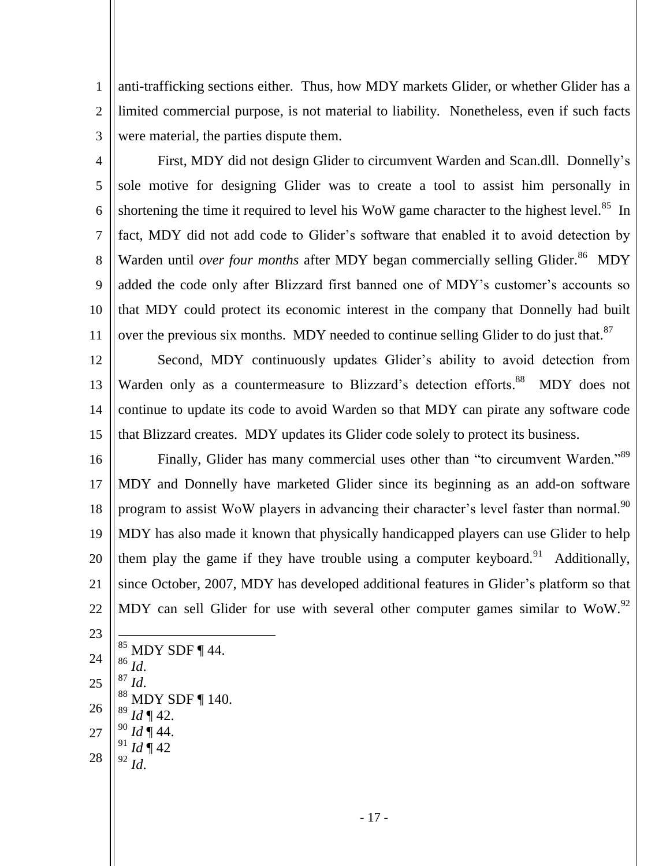1 2 3 anti-trafficking sections either. Thus, how MDY markets Glider, or whether Glider has a limited commercial purpose, is not material to liability. Nonetheless, even if such facts were material, the parties dispute them.

4 5 6 7 8 9 10 11 First, MDY did not design Glider to circumvent Warden and Scan.dll. Donnelly's sole motive for designing Glider was to create a tool to assist him personally in shortening the time it required to level his WoW game character to the highest level.<sup>85</sup> In fact, MDY did not add code to Glider's software that enabled it to avoid detection by Warden until *over four months* after MDY began commercially selling Glider.<sup>86</sup> MDY added the code only after Blizzard first banned one of MDY's customer's accounts so that MDY could protect its economic interest in the company that Donnelly had built over the previous six months. MDY needed to continue selling Glider to do just that.<sup>87</sup>

12 13 14 15 Second, MDY continuously updates Glider's ability to avoid detection from Warden only as a countermeasure to Blizzard's detection efforts.<sup>88</sup> MDY does not continue to update its code to avoid Warden so that MDY can pirate any software code that Blizzard creates. MDY updates its Glider code solely to protect its business.

16 17 18 19 20 21 22 Finally, Glider has many commercial uses other than "to circumvent Warden."<sup>89</sup> MDY and Donnelly have marketed Glider since its beginning as an add-on software program to assist WoW players in advancing their character's level faster than normal.<sup>90</sup> MDY has also made it known that physically handicapped players can use Glider to help them play the game if they have trouble using a computer keyboard.<sup>91</sup> Additionally, since October, 2007, MDY has developed additional features in Glider's platform so that MDY can sell Glider for use with several other computer games similar to WoW.<sup>92</sup>

- 23 24 25 26 27  $\overline{a}$  $85$  MDY SDF ¶ 44. <sup>86</sup> *Id*. <sup>87</sup> *Id*. MDY SDF $\P$ 140.  $Id \P 42.$ <sup>90</sup> *Id* ¶ 44.
- 28  $Id \P 42$ <sup>92</sup> *Id*.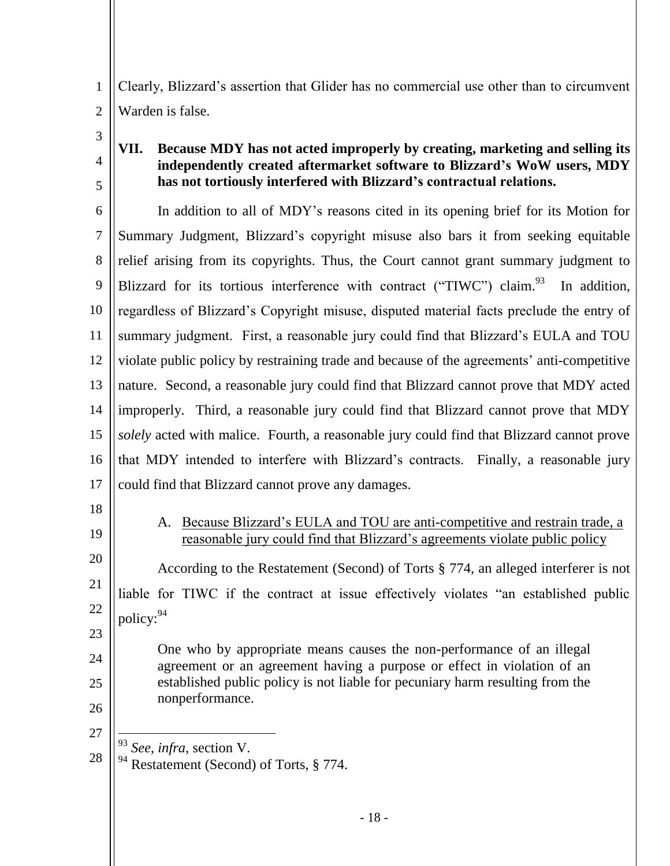1 2 Clearly, Blizzard's assertion that Glider has no commercial use other than to circumvent Warden is false.

3

4

5

## <span id="page-20-0"></span>**VII. Because MDY has not acted improperly by creating, marketing and selling its independently created aftermarket software to Blizzard's WoW users, MDY has not tortiously interfered with Blizzard's contractual relations.**

6 7 8 9 10 11 12 13 14 15 16 17 In addition to all of MDY's reasons cited in its opening brief for its Motion for Summary Judgment, Blizzard's copyright misuse also bars it from seeking equitable relief arising from its copyrights. Thus, the Court cannot grant summary judgment to Blizzard for its tortious interference with contract ("TIWC") claim.<sup>93</sup> In addition, regardless of Blizzard's Copyright misuse, disputed material facts preclude the entry of summary judgment. First, a reasonable jury could find that Blizzard's EULA and TOU violate public policy by restraining trade and because of the agreements' anti-competitive nature. Second, a reasonable jury could find that Blizzard cannot prove that MDY acted improperly. Third, a reasonable jury could find that Blizzard cannot prove that MDY *solely* acted with malice. Fourth, a reasonable jury could find that Blizzard cannot prove that MDY intended to interfere with Blizzard's contracts. Finally, a reasonable jury could find that Blizzard cannot prove any damages.

- <span id="page-20-1"></span>18
- 19

20

21

22

23

24

25

A. Because Blizzard's EULA and TOU are anti-competitive and restrain trade, a reasonable jury could find that Blizzard's agreements violate public policy

According to the Restatement (Second) of Torts § 774, an alleged interferer is not liable for TIWC if the contract at issue effectively violates "an established public policy: 94

One who by appropriate means causes the non-performance of an illegal agreement or an agreement having a purpose or effect in violation of an established public policy is not liable for pecuniary harm resulting from the nonperformance.

26 27

 $\overline{a}$ <sup>93</sup> *See, infra*, section V.

28 <sup>94</sup> Restatement (Second) of Torts, § 774.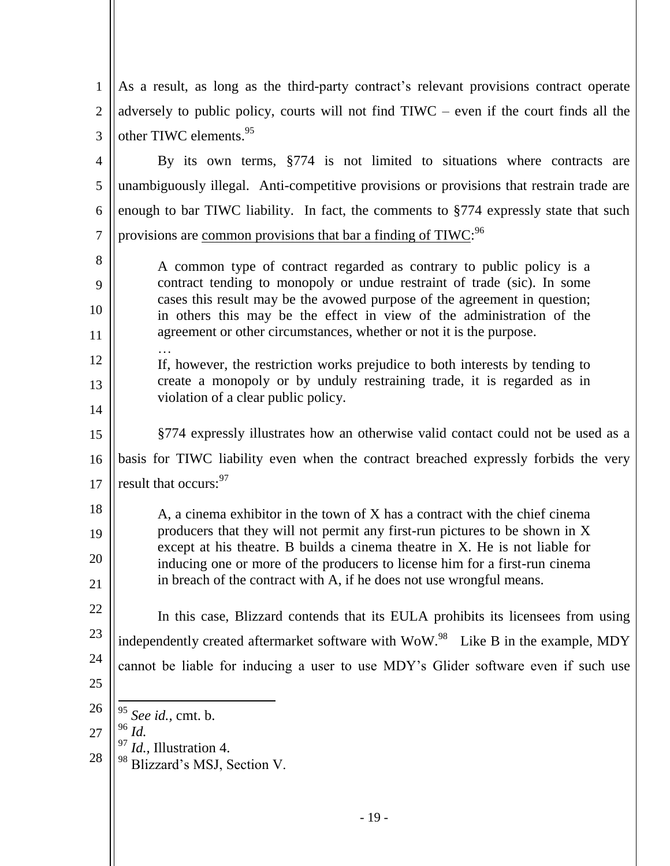| $\mathbf{1}$   | As a result, as long as the third-party contract's relevant provisions contract operate                                                                    |
|----------------|------------------------------------------------------------------------------------------------------------------------------------------------------------|
| $\overline{2}$ | adversely to public policy, courts will not find $\text{TlW}\text{C}$ – even if the court finds all the                                                    |
| 3              | other TIWC elements. <sup>95</sup>                                                                                                                         |
| 4              | By its own terms, §774 is not limited to situations where contracts are                                                                                    |
| 5              | unambiguously illegal. Anti-competitive provisions or provisions that restrain trade are                                                                   |
| 6              | enough to bar TIWC liability. In fact, the comments to §774 expressly state that such                                                                      |
| $\overline{7}$ | provisions are common provisions that bar a finding of TIWC: <sup>96</sup>                                                                                 |
| 8              | A common type of contract regarded as contrary to public policy is a                                                                                       |
| 9              | contract tending to monopoly or undue restraint of trade (sic). In some<br>cases this result may be the avowed purpose of the agreement in question;       |
| 10             | in others this may be the effect in view of the administration of the                                                                                      |
| 11             | agreement or other circumstances, whether or not it is the purpose.                                                                                        |
| 12             | If, however, the restriction works prejudice to both interests by tending to                                                                               |
| 13             | create a monopoly or by unduly restraining trade, it is regarded as in<br>violation of a clear public policy.                                              |
| 14             |                                                                                                                                                            |
| 15             | §774 expressly illustrates how an otherwise valid contact could not be used as a                                                                           |
| 16             | basis for TIWC liability even when the contract breached expressly forbids the very                                                                        |
| 17             | result that occurs: <sup>97</sup>                                                                                                                          |
| 18             | A, a cinema exhibitor in the town of X has a contract with the chief cinema                                                                                |
| 19             | producers that they will not permit any first-run pictures to be shown in X<br>except at his theatre. B builds a cinema theatre in X. He is not liable for |
| $20\,$         | inducing one or more of the producers to license him for a first-run cinema                                                                                |
| 21             | in breach of the contract with A, if he does not use wrongful means.                                                                                       |
| 22             | In this case, Blizzard contends that its EULA prohibits its licensees from using                                                                           |
| 23             | independently created aftermarket software with WoW. <sup>98</sup> Like B in the example, MDY                                                              |
| 24             | cannot be liable for inducing a user to use MDY's Glider software even if such use                                                                         |
| 25             |                                                                                                                                                            |
| 26             | $95$ See id., cmt. b.<br>$^{96}\,$ Id.                                                                                                                     |
| 27<br>28       | Id., Illustration 4.                                                                                                                                       |
|                | <sup>98</sup> Blizzard's MSJ, Section V.                                                                                                                   |
|                |                                                                                                                                                            |
|                | $-19-$                                                                                                                                                     |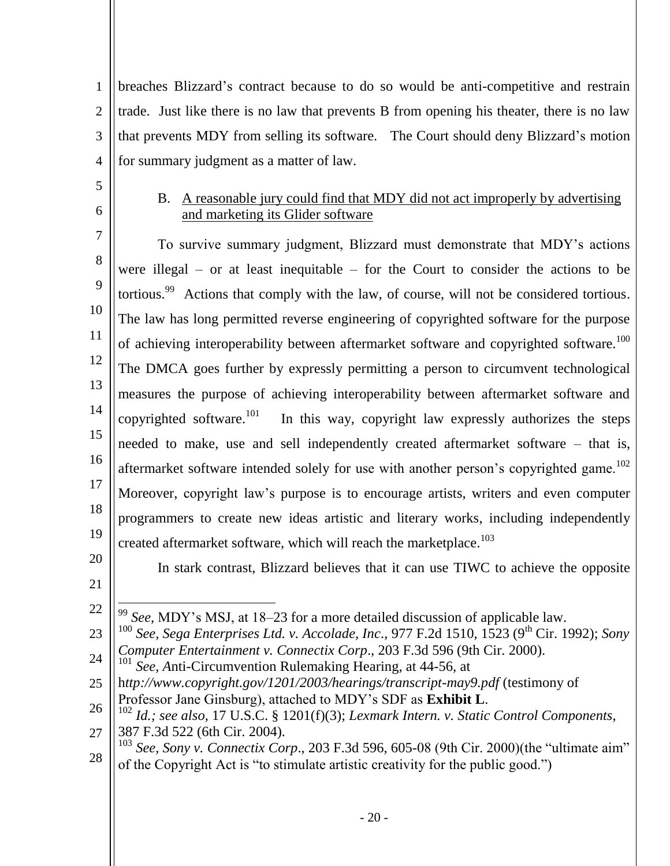1 2 3 4 breaches Blizzard's contract because to do so would be anti-competitive and restrain trade. Just like there is no law that prevents B from opening his theater, there is no law that prevents MDY from selling its software. The Court should deny Blizzard's motion for summary judgment as a matter of law.

- <span id="page-22-0"></span>5
- 6

9

## B. A reasonable jury could find that MDY did not act improperly by advertising and marketing its Glider software

7 8 10 11 To survive summary judgment, Blizzard must demonstrate that MDY's actions were illegal – or at least inequitable – for the Court to consider the actions to be tortious.<sup>99</sup> Actions that comply with the law, of course, will not be considered tortious. The law has long permitted reverse engineering of copyrighted software for the purpose of achieving interoperability between aftermarket software and copyrighted software.<sup>100</sup>

12 13 14 15 16 17 The DMCA goes further by expressly permitting a person to circumvent technological measures the purpose of achieving interoperability between aftermarket software and copyrighted software. $101$  In this way, copyright law expressly authorizes the steps needed to make, use and sell independently created aftermarket software – that is, aftermarket software intended solely for use with another person's copyrighted game.<sup>102</sup>

18 19 Moreover, copyright law's purpose is to encourage artists, writers and even computer programmers to create new ideas artistic and literary works, including independently created aftermarket software, which will reach the marketplace. 103

20

In stark contrast, Blizzard believes that it can use TIWC to achieve the opposite

21 22

 $\overline{a}$ 

23 24 <sup>100</sup> *See, Sega Enterprises Ltd. v. Accolade, Inc., 977 F.2d 1510, 1523 (9<sup>th</sup> Cir. 1992); <i>Sony Computer Entertainment v. Connectix Corp*., 203 F.3d 596 (9th Cir. 2000).

<sup>101</sup> See, Anti-Circumvention Rulemaking Hearing, at 44-56, at

25 h*ttp://www.copyright.gov/1201/2003/hearings/transcript-may9.pdf* (testimony of Professor Jane Ginsburg), attached to MDY's SDF as **Exhibit L**.

- 26 27 <sup>102</sup> *Id.; see also,* 17 U.S.C. § 1201(f)(3); *Lexmark Intern. v. Static Control Components*, 387 F.3d 522 (6th Cir. 2004)*.*
- 28  $^{103}$  *See, Sony v. Connectix Corp.*, 203 F.3d 596, 605-08 (9th Cir. 2000)(the "ultimate aim" of the Copyright Act is "to stimulate artistic creativity for the public good.")

<sup>99</sup> *See,* MDY's MSJ, at 18–23 for a more detailed discussion of applicable law.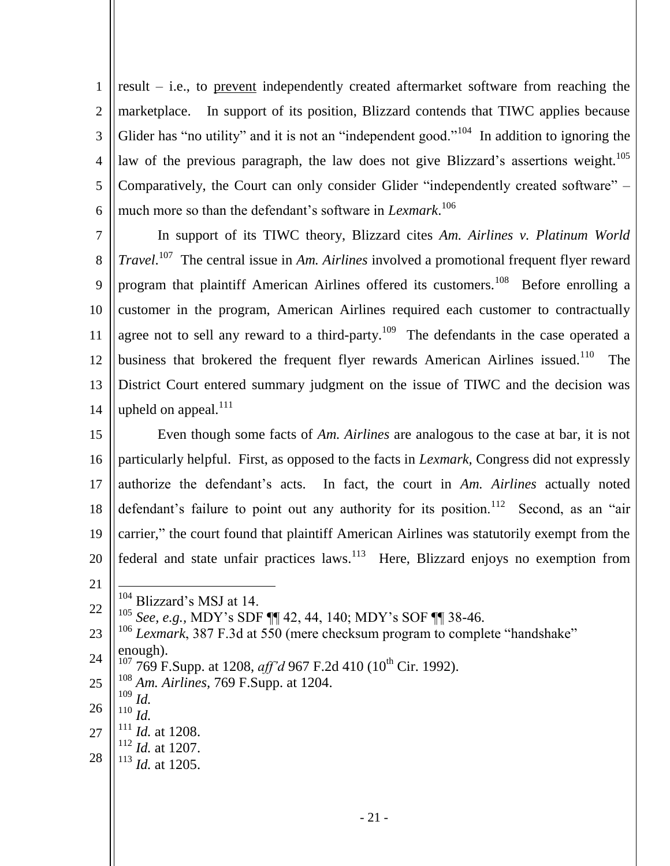1 2 3 4 5 6 result – i.e., to prevent independently created aftermarket software from reaching the marketplace. In support of its position, Blizzard contends that TIWC applies because Glider has "no utility" and it is not an "independent good."<sup>104</sup> In addition to ignoring the law of the previous paragraph, the law does not give Blizzard's assertions weight.<sup>105</sup> Comparatively, the Court can only consider Glider "independently created software" – much more so than the defendant's software in *Lexmark*. 106

7 8 9 10 11 12 13 14 In support of its TIWC theory, Blizzard cites *Am. Airlines v. Platinum World Travel*. 107 The central issue in *Am. Airlines* involved a promotional frequent flyer reward program that plaintiff American Airlines offered its customers.<sup>108</sup> Before enrolling a customer in the program, American Airlines required each customer to contractually agree not to sell any reward to a third-party.<sup>109</sup> The defendants in the case operated a business that brokered the frequent flyer rewards American Airlines issued.<sup>110</sup> The District Court entered summary judgment on the issue of TIWC and the decision was upheld on appeal. $^{111}$ 

15 16 17 18 19 20 Even though some facts of *Am. Airlines* are analogous to the case at bar, it is not particularly helpful. First, as opposed to the facts in *Lexmark,* Congress did not expressly authorize the defendant's acts. In fact, the court in *Am. Airlines* actually noted defendant's failure to point out any authority for its position.<sup>112</sup> Second, as an "air carrier," the court found that plaintiff American Airlines was statutorily exempt from the federal and state unfair practices  $l$ aws.<sup>113</sup> Here, Blizzard enjoys no exemption from

21

 $\overline{a}$ 

<sup>104</sup> Blizzard's MSJ at 14.

22 <sup>105</sup> *See, e.g.,* MDY's SDF ¶¶ 42, 44, 140; MDY's SOF ¶¶ 38-46.

- 23 24 <sup>106</sup> *Lexmark*, 387 F.3d at 550 (mere checksum program to complete "handshake" enough).
	- <sup>107</sup> 769 F.Supp. at 1208, *aff'd* 967 F.2d 410 (10<sup>th</sup> Cir. 1992).
- 25 <sup>108</sup> *Am. Airlines,* 769 F.Supp. at 1204.
- 26 <sup>109</sup> *Id.*
- <sup>110</sup> *Id.*
- 27 <sup>111</sup> *Id.* at 1208.
- 28 <sup>112</sup> *Id.* at 1207.
- <sup>113</sup> *Id.* at 1205.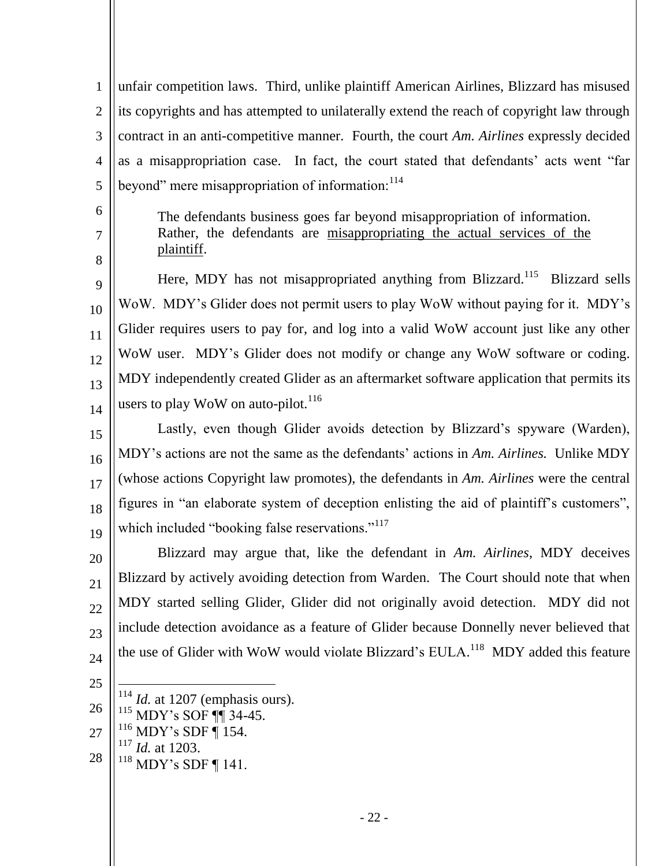1 2 3 4 5 unfair competition laws. Third, unlike plaintiff American Airlines, Blizzard has misused its copyrights and has attempted to unilaterally extend the reach of copyright law through contract in an anti-competitive manner. Fourth, the court *Am. Airlines* expressly decided as a misappropriation case. In fact, the court stated that defendants' acts went "far beyond" mere misappropriation of information:<sup>114</sup>

6 7

8

The defendants business goes far beyond misappropriation of information. Rather, the defendants are misappropriating the actual services of the plaintiff.

9 10 11 12 13 14 Here, MDY has not misappropriated anything from Blizzard.<sup>115</sup> Blizzard sells WoW. MDY's Glider does not permit users to play WoW without paying for it. MDY's Glider requires users to pay for, and log into a valid WoW account just like any other WoW user. MDY's Glider does not modify or change any WoW software or coding. MDY independently created Glider as an aftermarket software application that permits its users to play WoW on auto-pilot.<sup>116</sup>

15 16 17 18 19 Lastly, even though Glider avoids detection by Blizzard's spyware (Warden), MDY's actions are not the same as the defendants' actions in *Am. Airlines.* Unlike MDY (whose actions Copyright law promotes), the defendants in *Am. Airlines* were the central figures in "an elaborate system of deception enlisting the aid of plaintiff's customers", which included "booking false reservations."<sup>117</sup>

20 21 22 23 24 Blizzard may argue that, like the defendant in *Am. Airlines*, MDY deceives Blizzard by actively avoiding detection from Warden. The Court should note that when MDY started selling Glider, Glider did not originally avoid detection. MDY did not include detection avoidance as a feature of Glider because Donnelly never believed that the use of Glider with WoW would violate Blizzard's EULA.<sup>118</sup> MDY added this feature

- 25
	- $\overline{a}$ <sup>114</sup> *Id.* at 1207 (emphasis ours).<br><sup>115</sup> MDV's SOE **III** 34.45
- 26  $^{115}$  MDY's SOF ¶¶ 34-45.<br> $^{116}$  MDV's SDE ¶ 154
- 27 MDY's SDF ¶ 154.
	- <sup>117</sup> *Id.* at 1203.
- 28 <sup>118</sup> MDY's SDF ¶ 141.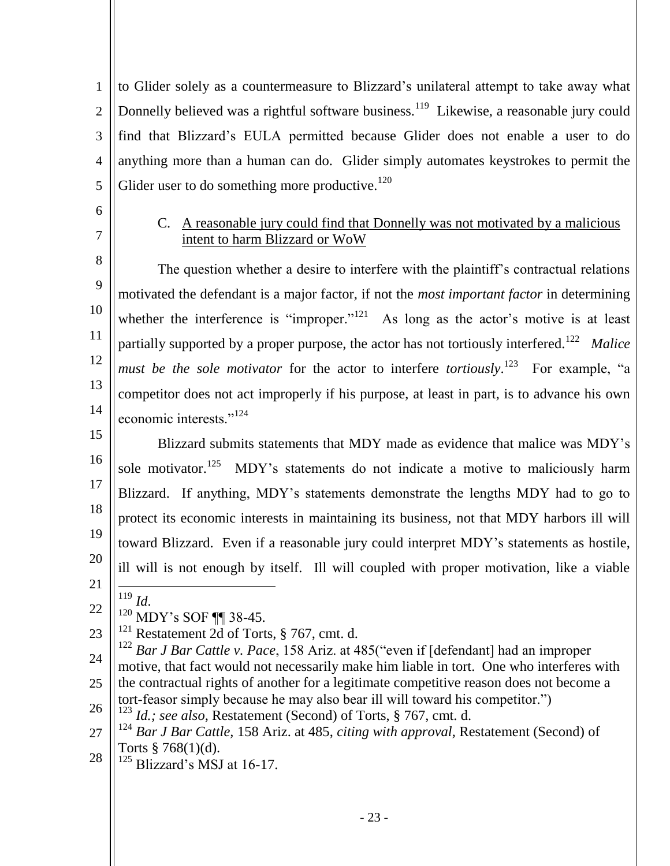1 2 3 4 5 to Glider solely as a countermeasure to Blizzard's unilateral attempt to take away what Donnelly believed was a rightful software business.<sup>119</sup> Likewise, a reasonable jury could find that Blizzard's EULA permitted because Glider does not enable a user to do anything more than a human can do. Glider simply automates keystrokes to permit the Glider user to do something more productive.<sup>120</sup>

<span id="page-25-0"></span>6 7

### C. A reasonable jury could find that Donnelly was not motivated by a malicious intent to harm Blizzard or WoW

8 9 10 11 12 13 14 The question whether a desire to interfere with the plaintiff's contractual relations motivated the defendant is a major factor, if not the *most important factor* in determining whether the interference is "improper."<sup>121</sup> As long as the actor's motive is at least partially supported by a proper purpose, the actor has not tortiously interfered.<sup>122</sup> Malice *must be the sole motivator* for the actor to interfere *tortiously*.<sup>123</sup> For example, "a competitor does not act improperly if his purpose, at least in part, is to advance his own economic interests<sup>",124</sup>

15 16 17 18 19 20 21 Blizzard submits statements that MDY made as evidence that malice was MDY's sole motivator.<sup>125</sup> MDY's statements do not indicate a motive to maliciously harm Blizzard. If anything, MDY's statements demonstrate the lengths MDY had to go to protect its economic interests in maintaining its business, not that MDY harbors ill will toward Blizzard. Even if a reasonable jury could interpret MDY's statements as hostile, ill will is not enough by itself. Ill will coupled with proper motivation, like a viable

- $\overline{a}$ <sup>119</sup> *Id*.
- 22 <sup>120</sup> MDY's SOF ¶¶ 38-45.
- 23  $121$  Restatement 2d of Torts, § 767, cmt. d.

24 25 26 <sup>122</sup> *Bar J Bar Cattle v. Pace*, 158 Ariz. at 485("even if [defendant] had an improper motive, that fact would not necessarily make him liable in tort. One who interferes with the contractual rights of another for a legitimate competitive reason does not become a tort-feasor simply because he may also bear ill will toward his competitor."

 $125$  Blizzard's MSJ at 16-17.

<sup>123</sup> *Id.; see also,* Restatement (Second) of Torts, § 767, cmt. d.

<sup>27</sup> 28 <sup>124</sup> *Bar J Bar Cattle,* 158 Ariz. at 485, *citing with approval,* Restatement (Second) of Torts  $§ 768(1)(d)$ .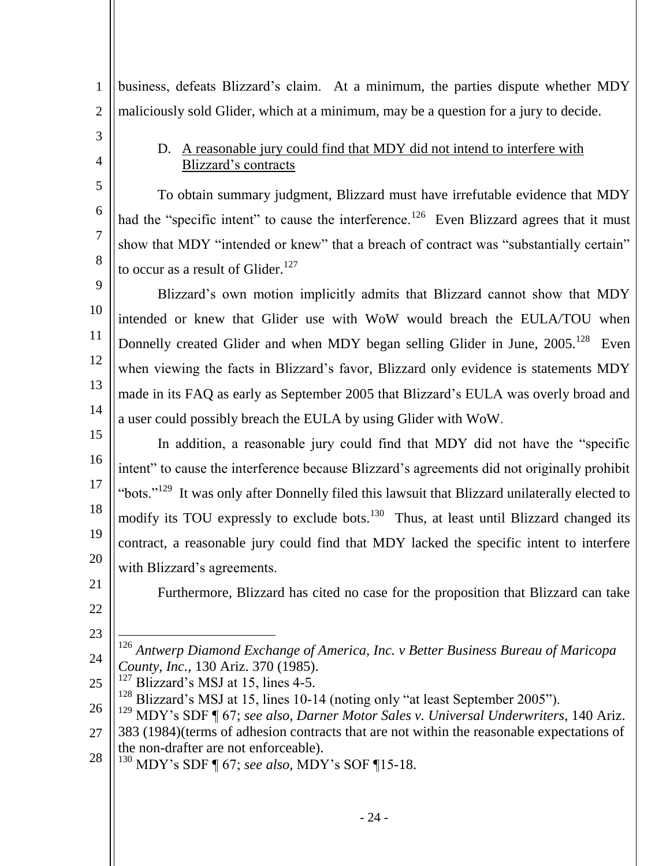business, defeats Blizzard's claim. At a minimum, the parties dispute whether MDY maliciously sold Glider, which at a minimum, may be a question for a jury to decide.

<span id="page-26-0"></span>3 4

5

6

7

8

1

2

## D. A reasonable jury could find that MDY did not intend to interfere with Blizzard's contracts

To obtain summary judgment, Blizzard must have irrefutable evidence that MDY had the "specific intent" to cause the interference.<sup>126</sup> Even Blizzard agrees that it must show that MDY "intended or knew" that a breach of contract was "substantially certain" to occur as a result of Glider. $127$ 

9 10 11 12 13 14 Blizzard's own motion implicitly admits that Blizzard cannot show that MDY intended or knew that Glider use with WoW would breach the EULA/TOU when Donnelly created Glider and when MDY began selling Glider in June, 2005.<sup>128</sup> Even when viewing the facts in Blizzard's favor, Blizzard only evidence is statements MDY made in its FAQ as early as September 2005 that Blizzard's EULA was overly broad and a user could possibly breach the EULA by using Glider with WoW.

15 16 17 18 19 20 In addition, a reasonable jury could find that MDY did not have the "specific intent" to cause the interference because Blizzard's agreements did not originally prohibit "bots."<sup>129</sup> It was only after Donnelly filed this lawsuit that Blizzard unilaterally elected to modify its TOU expressly to exclude bots.<sup>130</sup> Thus, at least until Blizzard changed its contract, a reasonable jury could find that MDY lacked the specific intent to interfere with Blizzard's agreements.

21 22

Furthermore, Blizzard has cited no case for the proposition that Blizzard can take

23

 $\overline{a}$ 

24 <sup>126</sup> *Antwerp Diamond Exchange of America, Inc. v Better Business Bureau of Maricopa County, Inc.,* 130 Ariz. 370 (1985).

25  $127$  Blizzard's MSJ at 15, lines 4-5.

28 <sup>130</sup> MDY's SDF ¶ 67; *see also,* MDY's SOF ¶15-18.

 $128$  Blizzard's MSJ at 15, lines 10-14 (noting only "at least September 2005").

<sup>26</sup> 27 <sup>129</sup> MDY's SDF ¶ 67; *see also, Darner Motor Sales v. Universal Underwriters*, 140 Ariz. 383 (1984)(terms of adhesion contracts that are not within the reasonable expectations of the non-drafter are not enforceable).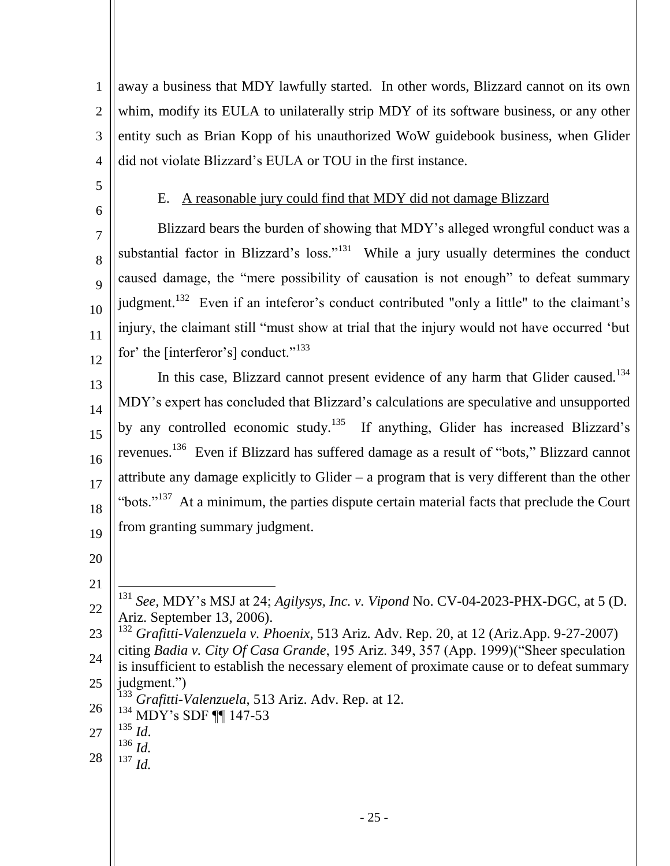1 2 3 4 away a business that MDY lawfully started. In other words, Blizzard cannot on its own whim, modify its EULA to unilaterally strip MDY of its software business, or any other entity such as Brian Kopp of his unauthorized WoW guidebook business, when Glider did not violate Blizzard's EULA or TOU in the first instance.

<span id="page-27-0"></span>5 6

7

8

 $\overline{Q}$ 

10

11

## E. A reasonable jury could find that MDY did not damage Blizzard

12 Blizzard bears the burden of showing that MDY's alleged wrongful conduct was a substantial factor in Blizzard's loss." $131$  While a jury usually determines the conduct caused damage, the "mere possibility of causation is not enough" to defeat summary judgment.<sup>132</sup> Even if an inteferor's conduct contributed "only a little" to the claimant's injury, the claimant still "must show at trial that the injury would not have occurred 'but for' the [interferor's] conduct." $133$ 

13 14 15 16 17 18 19 In this case, Blizzard cannot present evidence of any harm that Glider caused.<sup>134</sup> MDY's expert has concluded that Blizzard's calculations are speculative and unsupported by any controlled economic study.<sup>135</sup> If anything, Glider has increased Blizzard's revenues.<sup>136</sup> Even if Blizzard has suffered damage as a result of "bots," Blizzard cannot attribute any damage explicitly to Glider – a program that is very different than the other "bots."<sup>137</sup> At a minimum, the parties dispute certain material facts that preclude the Court from granting summary judgment.

- 20
- 21

 $\overline{a}$ 

22

- <sup>131</sup> *See,* MDY's MSJ at 24; *Agilysys, Inc. v. Vipond* No. CV-04-2023-PHX-DGC, at 5 (D. Ariz. September 13, 2006).
- 23 24 25 <sup>132</sup> *Grafitti-Valenzuela v. Phoenix*, 513 Ariz. Adv. Rep. 20, at 12 (Ariz.App. 9-27-2007) citing *Badia v. City Of Casa Grande*, 195 Ariz. 349, 357 (App. 1999)("Sheer speculation is insufficient to establish the necessary element of proximate cause or to defeat summary judgment.")
- 26 <sup>133</sup> *Grafitti-Valenzuela*, 513 Ariz. Adv. Rep. at 12.
	- <sup>134</sup> MDY's SDF ¶¶ 147-53
- 27 <sup>135</sup> *Id*.
	- <sup>136</sup> *Id.*
- 28 <sup>137</sup> *Id.*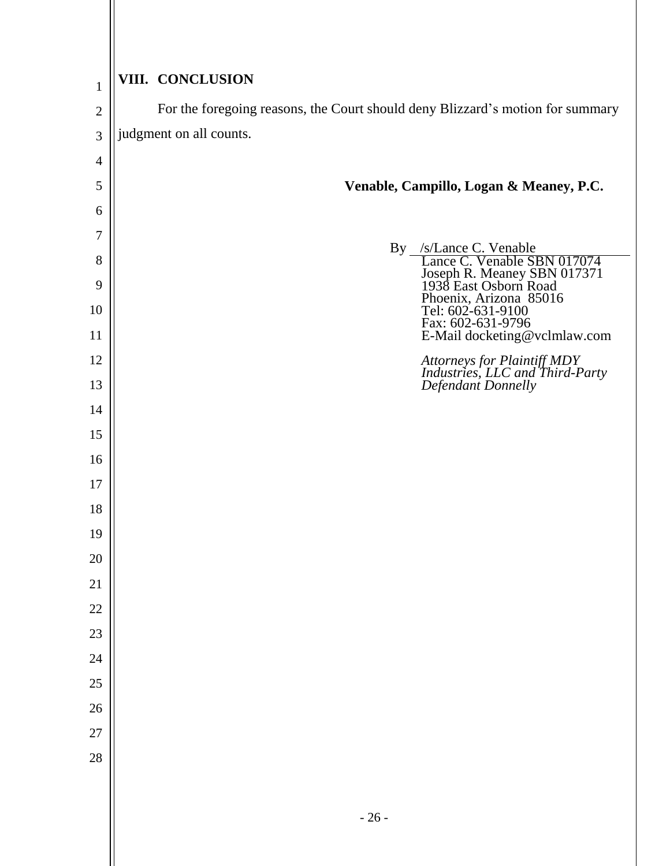<span id="page-28-0"></span>

| $\mathbf{1}$   | VIII. CONCLUSION                                                                                    |
|----------------|-----------------------------------------------------------------------------------------------------|
| $\overline{2}$ | For the foregoing reasons, the Court should deny Blizzard's motion for summary                      |
| 3              | judgment on all counts.                                                                             |
| $\overline{4}$ |                                                                                                     |
| 5              | Venable, Campillo, Logan & Meaney, P.C.                                                             |
| 6              |                                                                                                     |
| 7              |                                                                                                     |
| 8              | By /s/Lance C. Venable<br>Lance C. Venable SBN 017074                                               |
| 9<br>10        | Lance C. Vinancy SBN 017371<br>1938 East Osborn Road<br>Phoenix, Arizona 85016<br>Tel: 602-631-9100 |
| 11             | Fax: 602-631-9796<br>E-Mail docketing@vclmlaw.com                                                   |
| 12             | Attorneys for Plaintiff MDY<br>Industries, LLC and Third-Party<br>Defendant Donnelly                |
| 13             |                                                                                                     |
| 14             |                                                                                                     |
| 15             |                                                                                                     |
| 16             |                                                                                                     |
| 17             |                                                                                                     |
| 18             |                                                                                                     |
| 19             |                                                                                                     |
| 20             |                                                                                                     |
| 21             |                                                                                                     |
| $22\,$         |                                                                                                     |
| 23             |                                                                                                     |
| 24             |                                                                                                     |
| 25             |                                                                                                     |
| 26             |                                                                                                     |
| 27             |                                                                                                     |
| 28             |                                                                                                     |
|                |                                                                                                     |